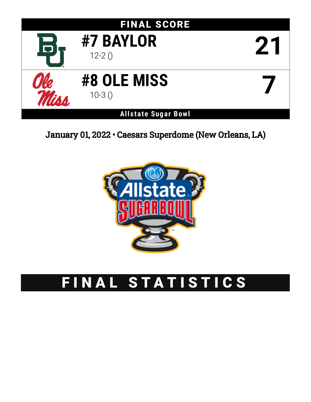

January 01, 2022 • Caesars Superdome (New Orleans, LA)



# FINAL STATISTICS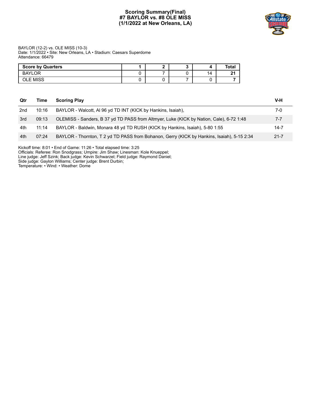## **Scoring Summary(Final) #7 BAYLOR vs. #8 OLE MISS (1/1/2022 at New Orleans, LA)**



#### BAYLOR (12-2) vs. OLE MISS (10-3) Date: 1/1/2022 • Site: New Orleans, LA • Stadium: Caesars Superdome Attendance: 66479

| <b>Score by Quarters</b> |  |     | <b>Total</b> |
|--------------------------|--|-----|--------------|
| <b>BAYLOR</b>            |  | 14. |              |
| OLE MISS                 |  |     |              |

| Qtr | Time  | <b>Scoring Play</b>                                                                        | V-H      |
|-----|-------|--------------------------------------------------------------------------------------------|----------|
| 2nd | 10:16 | BAYLOR - Walcott, AI 96 yd TD INT (KICK by Hankins, Isaiah),                               | 7-0      |
| 3rd | 09:13 | OLEMISS - Sanders, B 37 yd TD PASS from Altmyer, Luke (KICK by Nation, Cale), 6-72 1:48    | $7 - 7$  |
| 4th | 11:14 | BAYLOR - Baldwin, Monara 48 yd TD RUSH (KICK by Hankins, Isaiah), 5-80 1:55                | 14-7     |
| 4th | 07:24 | BAYLOR - Thornton, T 2 yd TD PASS from Bohanon, Gerry (KICK by Hankins, Isaiah), 5-15 2:34 | $21 - 7$ |
|     |       |                                                                                            |          |

Kickoff time: 8:01 • End of Game: 11:26 • Total elapsed time: 3:25

Officials: Referee: Ron Snodgrass; Umpire: Jim Shaw; Linesman: Kole Knueppel;

Line judge: Jeff Szink; Back judge: Kevin Schwarzel; Field judge: Raymond Daniel;

Side judge: Gaylon Williams; Center judge: Brent Durbin;

Temperature: • Wind: • Weather: Dome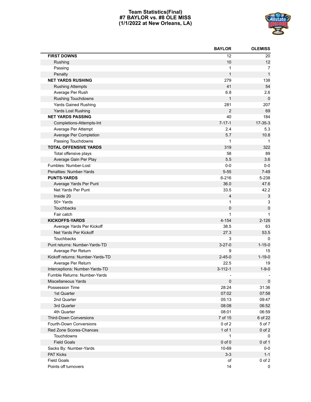## **Team Statistics(Final) #7 BAYLOR vs. #8 OLE MISS (1/1/2022 at New Orleans, LA)**



|                                  | <b>BAYLOR</b>  | <b>OLEMISS</b>            |
|----------------------------------|----------------|---------------------------|
| <b>FIRST DOWNS</b>               | 12             | 20                        |
| Rushing                          | 10             | 12                        |
| Passing                          | 1              | 7                         |
| Penalty                          | 1              | $\mathbf{1}$              |
| <b>NET YARDS RUSHING</b>         | 279            | 138                       |
| <b>Rushing Attempts</b>          | 41             | 54                        |
| Average Per Rush                 | 6.8            | 2.6                       |
| Rushing Touchdowns               | 1              | $\pmb{0}$                 |
| <b>Yards Gained Rushing</b>      | 281            | 207                       |
| Yards Lost Rushing               | $\overline{2}$ | 69                        |
| <b>NET YARDS PASSING</b>         | 40             | 184                       |
| Completions-Attempts-Int         | $7 - 17 - 1$   | $17 - 35 - 3$             |
| Average Per Attempt              | 2.4            | 5.3                       |
| Average Per Completion           | 5.7            | 10.8                      |
| Passing Touchdowns               | 1              | $\mathbf{1}$              |
| <b>TOTAL OFFENSIVE YARDS</b>     | 319            | 322                       |
| Total offensive plays            | 58             | 89                        |
| Average Gain Per Play            | 5.5            | 3.6                       |
| Fumbles: Number-Lost             | $0-0$          | $0-0$                     |
| Penalties: Number-Yards          | $5 - 55$       | $7-49$                    |
| <b>PUNTS-YARDS</b>               | $6 - 216$      | 5-238                     |
| Average Yards Per Punt           | 36.0           | 47.6                      |
| Net Yards Per Punt               | 33.5           | 42.2                      |
| Inside 20                        | $\overline{4}$ | $\ensuremath{\mathsf{3}}$ |
| 50+ Yards                        | 1              | 3                         |
| Touchbacks                       | 0              | $\mathsf 0$               |
| Fair catch                       | 1              | 1                         |
| <b>KICKOFFS-YARDS</b>            | 4-154          | $2 - 126$                 |
| Average Yards Per Kickoff        | 38.5           | 63                        |
| Net Yards Per Kickoff            | 27.3           | 53.5                      |
| <b>Touchbacks</b>                | 3              | 0                         |
| Punt returns: Number-Yards-TD    | $3 - 27 - 0$   | $1 - 15 - 0$              |
| Average Per Return               | 9              | 15                        |
| Kickoff returns: Number-Yards-TD | $2 - 45 - 0$   | $1 - 19 - 0$              |
| Average Per Return               | 22.5           | 19                        |
| Interceptions: Number-Yards-TD   | $3 - 112 - 1$  | $1 - 9 - 0$               |
| Fumble Returns: Number-Yards     |                |                           |
| Miscellaneous Yards              | $\pmb{0}$      | $\pmb{0}$                 |
| Possession Time                  | 28:24          | 31:36                     |
| 1st Quarter                      | 07:02          | 07:58                     |
| 2nd Quarter                      | 05:13          | 09:47                     |
| 3rd Quarter                      | 08:08          | 06:52                     |
| 4th Quarter                      | 08:01          | 06:59                     |
| <b>Third-Down Conversions</b>    | 7 of 15        | 6 of 22                   |
| Fourth-Down Conversions          | $0$ of $2$     | 5 of 7                    |
| Red Zone Scores-Chances          | 1 of 1         | $0$ of $2$                |
| Touchdowns                       | 1              | 0                         |
| <b>Field Goals</b>               | $0$ of $0$     | $0$ of 1                  |
| Sacks By: Number-Yards           | 10-69          | $0-0$                     |
| PAT Kicks                        | $3 - 3$        | $1 - 1$                   |
| <b>Field Goals</b>               | of             | $0$ of $2$                |
| Points off turnovers             | 14             | 0                         |
|                                  |                |                           |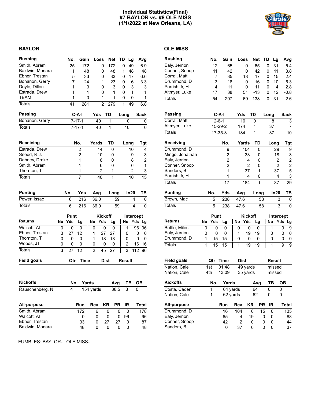## **Individual Statistics(Final) #7 BAYLOR vs. #8 OLE MISS (1/1/2022 at New Orleans, LA)**



## **BAYLOR OLE MISS**

| <b>Rushing</b>     |   | No.         | Gain           |                | Loss           | Net TD       |              | Lg            | Avg                     |                 | <b>Rushing</b>     |              | No.            | Gain        | Loss         |                | Net         | <b>TD</b> | Lg              |                |
|--------------------|---|-------------|----------------|----------------|----------------|--------------|--------------|---------------|-------------------------|-----------------|--------------------|--------------|----------------|-------------|--------------|----------------|-------------|-----------|-----------------|----------------|
| Smith, Abram       |   | 25          | 172            |                | 0              | 172          | 0            | 49            | 6.9                     |                 | Ealy, Jerrion      |              | 12             | 65          |              | 0              | 65          | 0         | 31              |                |
| Baldwin, Monara    |   | 1           | 48             |                | 0              | 48           | 1            | 48            |                         | 48              | Conner, Snoop      |              | 11             | 42          |              | 0              | 42          | 0         | 11              |                |
| Ebner, Trestan     |   | 5           | 33             |                | 0              | 33           | 0            | 17            | 6.6                     |                 | Corral, Matt       |              | $\overline{7}$ | 35          |              | 18             | 17          | 0         | 15              |                |
| Bohanon, Gerry     |   | 7           | 24             |                | 1              | 23           | 0            |               | 3.3<br>6                |                 | Drummond, D        |              | 3              | 16          |              | 0              | 16          | 0         | 10              |                |
| Doyle, Dillon      |   | 1           |                | 3              | 0              | 3            | 0            |               | 3                       | 3               | Parrish Jr, H      |              | 4              | 11          |              | 0              | 11          | 0         | 4               |                |
| Estrada, Drew      |   | 1           |                | 1              | 0              | 1            | 0            |               | 1                       | 1               | Altmyer, Luke      |              | 17             | 38          |              | 51             | $-13$       | 0         | 12              |                |
| <b>TEAM</b>        |   | 1           |                | 0              | 1              | $-1$         | 0            |               | 0                       | $-1$            | <b>Totals</b>      |              | 54             | 207         |              | 69             | 138         | 0         | 31              |                |
| <b>Totals</b>      |   | 41          | 281            |                | $\overline{2}$ | 279          | $\mathbf{1}$ | 49            | 6.8                     |                 |                    |              |                |             |              |                |             |           |                 |                |
| Passing            |   |             | $C-A-I$        | Yds            |                | TD           | Long         |               | <b>Sack</b>             |                 | <b>Passing</b>     |              |                | $C-A-I$     | Yds          |                | TD          | Long      |                 |                |
| Bohanon, Gerry     |   |             | $7 - 17 - 1$   | 40             |                | 1            |              | 10            |                         | 0               | Corral, Matt       |              |                | $2 - 6 - 1$ | 10           |                | 0           |           | 8               |                |
| <b>Totals</b>      |   |             | $7 - 17 - 1$   | 40             |                | $\mathbf{1}$ |              | 10            |                         | 0               | Altmyer, Luke      |              |                | 15-29-2     | 174          |                | 1           |           | 37              |                |
|                    |   |             |                |                |                |              |              |               |                         |                 | <b>Totals</b>      |              |                | $17-35-3$   | 184          |                | 1           |           | 37              |                |
| Receiving          |   |             | No.            | Yards          |                | TD           |              | Long          | Tgt                     |                 | <b>Receiving</b>   |              |                | No.         | Yards        |                | TD          |           | Long            |                |
| Estrada, Drew      |   |             | 2              |                | 14             | 0            |              | 10            |                         | 4               | Drummond, D        |              |                | 9           |              | 104            | 0           |           | 29              |                |
| Sneed, R.J.        |   |             | 2              |                | 10             | 0            |              |               | 9                       | 3               | Mingo, Jonathan    |              |                | 2           |              | 33             | 0           |           | 18              |                |
| Dabney, Drake      |   |             | 1              |                | 8              | 0            |              |               | 8                       | $\overline{c}$  | Ealy, Jerrion      |              |                | 2           |              | 4              | 0           |           |                 | $\overline{2}$ |
| Smith, Abram       |   |             | 1              |                | 6              | 0            |              |               | 6                       | 1               | Conner, Snoop      |              |                | 2           |              | 2              | 0           |           |                 | $\overline{2}$ |
| Thornton, T        |   |             | 1              |                | 2              | 1            |              |               | 2                       | 3               | Sanders, B         |              |                | 1           |              | 37             | 1           |           | 37              |                |
| <b>Totals</b>      |   |             | $\overline{7}$ |                | 40             | $\mathbf{1}$ |              | 10            |                         | $\overline{15}$ | Parrish Jr, H      |              |                | 1           |              | 4              | 0           |           |                 | $\overline{4}$ |
|                    |   |             |                |                |                |              |              |               |                         |                 | <b>Totals</b>      |              |                | 17          |              | 184            | 1           |           | $\overline{37}$ |                |
| <b>Punting</b>     |   | No.         | Yds            | Avg            |                | Long         |              | In20          | TВ                      |                 | <b>Punting</b>     |              | No.            | Yds         | Avg          |                | Long        |           | In20            |                |
| Power, Issac       |   | 6           | 216            | 36.0           |                | 59           |              |               | 4                       | 0               | Brown, Mac         |              | 5              | 238         | 47.6         |                | 58          |           |                 | 3              |
| <b>Totals</b>      |   | 6           | 216            | 36.0           |                | 59           |              |               | $\overline{\mathbf{4}}$ | $\overline{0}$  | <b>Totals</b>      |              | 5              | 238         | 47.6         |                | 58          |           |                 | 3              |
|                    |   | Punt        |                |                | <b>Kickoff</b> |              |              |               | <b>Intercept</b>        |                 |                    |              | Punt           |             |              | <b>Kickoff</b> |             |           | <b>Interc</b>   |                |
| <b>Returns</b>     |   | No Yds      | Lg             | No             | Yds            | Lg           |              | No            | Yds Lg                  |                 | <b>Returns</b>     | No           | Yds            | Lg          | No           | Yds            | Lg          |           | No              | Yd             |
| Walcott, Al        | 0 | $\mathbf 0$ | 0              | 0              | 0              | $\mathbf 0$  |              | 1             | 96                      | 96              | Battle, Miles      | 0            | 0              | 0           | 0            | 0              | 0           |           | 1               |                |
| Ebner, Trestan     | 3 | 27          | 12             | 1              | 27             | 27           |              | 0             | 0                       | 0               | Ealy, Jerrion      | 0            | 0              | 0           | 1            | 19             | 19          |           | 0               |                |
| Thornton, T        | 0 | 0           | $\Omega$       | 1              | 18             | 18           |              | 0             | 0                       | 0               | Drummond, D        | $\mathbf{1}$ | 15             | 15          | 0            | 0              | 0           |           | 0               |                |
| Woods, JT          | 0 | 0           | 0              | 0              | 0              | 0            |              | 2             | 16<br>-16               |                 | <b>Totals</b>      | 1            | 15             | 15          | $\mathbf{1}$ | 19             | 19          |           | 1               |                |
| <b>Totals</b>      | 3 | 27          | 12             | $\overline{2}$ | 45             | 27           |              | 3             | 112 96                  |                 |                    |              |                |             |              |                |             |           |                 |                |
| <b>Field goals</b> |   | Qtr         | <b>Time</b>    |                | <b>Dist</b>    |              |              | <b>Result</b> |                         |                 | <b>Field goals</b> |              | Qtr            | Time        | <b>Dist</b>  |                |             |           | <b>Result</b>   |                |
|                    |   |             |                |                |                |              |              |               |                         |                 | Nation, Cale       | 1st          |                | 01:48       |              | 49 yards       |             |           | missed          |                |
|                    |   |             |                |                |                |              |              |               |                         |                 | Nation, Cale       | 4th          |                | 13:09       |              | 35 yards       |             |           | missed          |                |
| <b>Kickoffs</b>    |   |             | Yards<br>No.   |                |                | Avg          |              | TВ            | <b>OB</b>               |                 | Kickoffs           |              | No.            | Yards       |              |                | Avg         |           | <b>TB</b>       | C              |
| Rauschenberg, N    |   | 4           |                | $154$ yards    |                | 38.5         |              | $\sqrt{3}$    | 0                       |                 | Costa, Caden       |              | 1              |             | 64 yards     |                | 64          |           | $\pmb{0}$       | C              |
|                    |   |             |                |                |                |              |              |               |                         |                 | Nation, Cale       |              | 1              |             | 62 yards     |                | 62          |           | 0               | C              |
| All-purpose        |   |             | Run            | Rcv            | <b>KR</b>      |              | PR IR        |               | <b>Total</b>            |                 | All-purpose        |              |                | Run         | <b>Rcv</b>   | KR             |             | PR IR     |                 |                |
| Smith, Abram       |   |             | 172            | 6              |                | 0            | $\mathbf 0$  | 0             | $\overline{178}$        |                 | Drummond, D        |              |                | 16          | 104          |                | $\mathbf 0$ | 15        | 0               |                |
| Walcott, Al        |   |             | 0              | 0              |                | 0            | 0            | 96            |                         | 96              | Ealy, Jerrion      |              |                | 65          | 4            | 19             |             | 0         | 0               |                |
| Ebner, Trestan     |   |             | 33             | 0              | 27             |              | 27           | 0             |                         | 87              | Conner, Snoop      |              |                | 42          | 2            |                | 0           | 0         | 0               |                |
| Baldwin, Monara    |   |             | 48             | 0              |                | $\pmb{0}$    | $\pmb{0}$    | 0             |                         | 48              | Sanders, B         |              |                | 0           | 37           |                | $\pmb{0}$   | 0         | $\pmb{0}$       |                |

**Rushing No. Gain Loss Net TD Lg Avg** Ealy, Jerrion 12 65 0 65 0 31 5.4 Conner, Snoop 11 42 0 42 0 11 3.8 Corral, Matt 7 35 18 17 0 15 2.4 Drummond, D 3 16 0 16 0 10 5.3 Parrish Jr, H 4 11 0 11 0 4 2.8 Altmyer, Luke 17 38 51 -13 0 12 -0.8 Totals 54 207 69 138 0 31 2.6 **Passing C-A-I Yds TD Long Sack** Corral, Matt 2-6-1 10 0 8 3 Altmyer, Luke 15-29-2 174 1 37 7 Totals 17-35-3 184 1 37 10 **Receiving No. Yards TD Long Tgt** Drummond, D 9 104 0 29 9 Mingo, Jonathan 2 33 0 18 3<br>
Ealy, Jerrion 2 4 0 2 2 Ealy, Jerrion 2 4 0 2 2<br>
Conner, Snoop 2 2 0 2 2 Conner, Snoop 2 2 2 0 2 2<br>
Sanders, B 37 1 37 5 Sanders, B<br>
Parrish Jr, H<br>
1 4 0 4 3 Parrish Jr, H 1 4 0 4 Totals 17 184 1 37 29 **Punting No. Yds Avg Long In20 TB** Brown, Mac 5 238 47.6 58 3 0 Totals 5 238 47.6 58 3 0 **Punt Kickoff Intercept**<br>No Yds Lg | No Yds Lg | No Yds Lg **Returns No Yds Lg No Yds Lg No Yds Lg** Battle, Miles 0 0 0 0 0 0 0 1 9 9 Ealy, Jerrion  $\begin{array}{ccccccc} 0 & 0 & 0 & 1 & 19 & 19 & 0 & 0 & 0 \end{array}$ Drummond, D  $1 15 15 0 0 0 0 0 0$ Totals 1 15 15 1 19 19 1 1 9 9 Nation, Cale 1st 01:48 49 yards missed Nation, Cale 4th 13:09 35 yards missed

| <b>Kickoffs</b> | No. | Yards |          |    | Avg       | тв | OВ           |
|-----------------|-----|-------|----------|----|-----------|----|--------------|
| Costa, Caden    | 1   |       | 64 yards | 64 |           | 0  | 0            |
| Nation, Cale    | 1   |       | 62 yards | 62 |           | 0  | 0            |
| All-purpose     |     | Run   | Rcv      | ΚR | <b>PR</b> | ΙR | <b>Total</b> |
| Drummond, D     |     | 16    | 104      | 0  | 15        | 0  | 135          |
| Ealy, Jerrion   |     | 65    | 4        | 19 | 0         | 0  | 88           |
| Conner, Snoop   |     | 42    | 2        | 0  | 0         | 0  | 44           |
| Sanders, B      |     | 0     | 37       | 0  | 0         | 0  | 37           |

FUMBLES: BAYLOR- . OLE MISS- .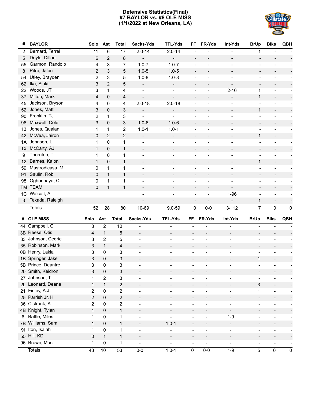## **Defensive Statistics(Final) #7 BAYLOR vs. #8 OLE MISS (1/1/2022 at New Orleans, LA)**



| #  | <b>BAYLOR</b>      | Solo                    | Ast              | <b>Total</b>     | Sacks-Yds                | <b>TFL-Yds</b>               | FF                       | FR-Yds                   | Int-Yds                  | <b>BrUp</b>                  | <b>Blks</b>                  | QBH                      |
|----|--------------------|-------------------------|------------------|------------------|--------------------------|------------------------------|--------------------------|--------------------------|--------------------------|------------------------------|------------------------------|--------------------------|
| 2  | Bernard, Terrel    | 11                      | 6                | 17               | $2.0 - 14$               | $2.0 - 14$                   |                          |                          |                          | 1                            |                              |                          |
| 5  | Doyle, Dillon      | 6                       | $\overline{c}$   | 8                |                          |                              |                          |                          | $\overline{a}$           | $\overline{\phantom{a}}$     |                              |                          |
| 55 | Garmon, Randolp    | 4                       | 3                | 7                | $1.0 - 7$                | $1.0 - 7$                    |                          |                          | $\overline{a}$           | $\overline{\phantom{a}}$     |                              |                          |
| 8  | Pitre, Jalen       | 2                       | 3                | 5                | $1.0 - 5$                | $1.0 - 5$                    | $\overline{\phantom{a}}$ |                          |                          | $\overline{\phantom{a}}$     |                              |                          |
| 54 | Utley, Brayden     | $\overline{2}$          | 3                | 5                | $1.0 - 8$                | $1.0 - 8$                    |                          |                          |                          | $\overline{a}$               |                              |                          |
| 62 | Ika, Siaki         | 3                       | $\overline{c}$   | 5                | $\overline{\phantom{a}}$ | $\overline{\phantom{a}}$     | $\overline{\phantom{a}}$ |                          | $\overline{\phantom{a}}$ | $\overline{\phantom{a}}$     |                              |                          |
| 22 | Woods, JT          | 3                       | $\mathbf{1}$     | 4                |                          |                              |                          |                          | $2 - 16$                 | 1                            |                              |                          |
| 37 | Milton, Mark       | 4                       | 0                | 4                |                          | $\overline{\phantom{a}}$     | $\overline{\phantom{a}}$ |                          | $\qquad \qquad -$        | 1                            | $\overline{\phantom{a}}$     | $\overline{\phantom{a}}$ |
| 45 | Jackson, Bryson    | 4                       | $\pmb{0}$        | 4                | $2.0 - 18$               | $2.0 - 18$                   | $\overline{a}$           |                          |                          | $\overline{\phantom{a}}$     |                              | $\overline{\phantom{a}}$ |
| 52 | Jones, Matt        | 3                       | 0                | 3                |                          | $\qquad \qquad \blacksquare$ | $\overline{\phantom{a}}$ |                          | $\overline{\phantom{a}}$ | 1                            | $\overline{\phantom{a}}$     | $\overline{\phantom{a}}$ |
| 90 | Franklin, TJ       | 2                       | 1                | 3                | ÷                        | ÷,                           |                          |                          |                          | $\overline{\phantom{a}}$     |                              |                          |
| 96 | Maxwell, Cole      | 3                       | 0                | 3                | $1.0 - 6$                | $1.0 - 6$                    | $\overline{\phantom{a}}$ | $\overline{\phantom{0}}$ | $\overline{\phantom{a}}$ | $\overline{\phantom{a}}$     | $\overline{\phantom{a}}$     | F                        |
| 13 | Jones, Qualan      | 1                       | 1                | 2                | $1.0 - 1$                | $1.0 - 1$                    |                          |                          |                          | $\overline{\phantom{a}}$     |                              | $\overline{\phantom{0}}$ |
| 42 | McVea, Jairon      | 0                       | $\overline{2}$   | $\overline{c}$   | $\overline{\phantom{a}}$ | $\overline{\phantom{a}}$     | $\overline{\phantom{a}}$ |                          | $\overline{\phantom{a}}$ | 1                            | $\overline{\phantom{a}}$     |                          |
| 1A | Johnson, L         | 1                       | 0                | 1                |                          |                              |                          |                          |                          | $\overline{\phantom{a}}$     |                              |                          |
| 1X | McCarty, AJ        | $\mathbf{1}$            | 0                | $\mathbf{1}$     |                          | $\overline{\phantom{a}}$     | $\overline{\phantom{a}}$ |                          |                          | $\overline{\phantom{a}}$     |                              |                          |
| 9  | Thornton, T        | 1                       | $\mathbf 0$      | 1                |                          | $\overline{a}$               | $\overline{\phantom{a}}$ |                          |                          | $\overline{\phantom{a}}$     | $\overline{a}$               |                          |
| 12 | Barnes, Kalon      | $\mathbf{1}$            | 0                | $\mathbf{1}$     |                          |                              | $\overline{\phantom{a}}$ |                          |                          | 1                            | $\overline{\phantom{a}}$     |                          |
| 59 | Mastrodicasa, M    | 0                       | 1                | 1                |                          |                              | $\overline{a}$           |                          |                          | $\overline{\phantom{a}}$     | $\overline{a}$               |                          |
| 91 | Saulin, Rob        | 0                       | $\mathbf{1}$     | $\mathbf{1}$     |                          | -                            | $\overline{\phantom{a}}$ |                          | $\overline{\phantom{a}}$ | $\overline{\phantom{a}}$     |                              |                          |
| 98 | Ogbonnaya, C       | 0                       | 1                | 1                |                          |                              |                          |                          |                          |                              |                              |                          |
| TM | <b>TEAM</b>        | 0                       | $\mathbf{1}$     | $\mathbf{1}$     | $\overline{\phantom{a}}$ | $\overline{\phantom{a}}$     | $\overline{\phantom{a}}$ | $\overline{\phantom{a}}$ | $\overline{\phantom{a}}$ | $\overline{\phantom{a}}$     | $\overline{\phantom{a}}$     |                          |
| 1C | Walcott, Al        |                         |                  |                  |                          |                              |                          |                          | $1 - 96$                 |                              |                              |                          |
| 3  | Texada, Raleigh    |                         |                  |                  |                          | $\overline{\phantom{a}}$     | $\overline{\phantom{a}}$ | $\overline{a}$           |                          | $\mathbf{1}$                 |                              |                          |
|    | <b>Totals</b>      | 52                      | 28               | 80               | 10-69                    | $9.0 - 59$                   | 0                        | $0-0$                    | $3 - 112$                | $\overline{7}$               | $\mathsf{O}\xspace$          | $\mathbf 0$              |
|    |                    |                         |                  |                  |                          |                              |                          |                          |                          |                              |                              |                          |
| #  | <b>OLE MISS</b>    | Solo                    | Ast              | <b>Total</b>     | Sacks-Yds                | <b>TFL-Yds</b>               | FF                       | FR-Yds                   | Int-Yds                  | <b>BrUp</b>                  | <b>Blks</b>                  | QBH                      |
|    | 44 Campbell, C     | 8                       | $\overline{2}$   | 10               |                          | ÷,                           | $\overline{a}$           |                          |                          |                              |                              |                          |
|    | 3B Reese, Otis     | 4                       | 1                | 5                | $\overline{\phantom{a}}$ | $\overline{a}$               |                          |                          |                          | $\overline{\phantom{a}}$     |                              |                          |
|    | 33 Johnson, Cedric | 3                       | $\overline{2}$   | 5                | $\blacksquare$           | $\blacksquare$               | $\overline{a}$           |                          |                          | $\overline{a}$               |                              |                          |
|    | 35 Robinson, Mark  | 3                       | $\mathbf{1}$     | 4                | $\overline{\phantom{a}}$ |                              | $\overline{a}$           |                          |                          |                              |                              |                          |
|    | 0B Henry, Lakia    | 3                       | $\mathbf 0$      | 3                | $\overline{\phantom{0}}$ | $\overline{\phantom{a}}$     | $\overline{a}$           |                          |                          |                              |                              |                          |
|    | 1B Springer, Jake  | 3                       | $\pmb{0}$        | 3                |                          |                              |                          |                          |                          | 1                            |                              |                          |
|    | 5B Prince, Deantre | 3                       | 0                | 3                | $\blacksquare$           | $\blacksquare$               | $\overline{a}$           |                          |                          | $\overline{a}$               |                              |                          |
|    | 20 Smith, Keidron  | 3                       | 0                | 3                |                          |                              |                          |                          |                          |                              |                              |                          |
|    | 27 Johnson, T      | 1                       | $\boldsymbol{2}$ | 3                | $\overline{\phantom{a}}$ | $\overline{a}$               |                          |                          | $\overline{\phantom{0}}$ | $\overline{\phantom{0}}$     |                              |                          |
|    | 2L Leonard, Deane  | $\mathbf{1}$            | $\mathbf{1}$     | $\sqrt{2}$       | $\overline{\phantom{a}}$ | $\overline{a}$               |                          | $\overline{a}$           | $\overline{\phantom{a}}$ | 3                            | $\overline{\phantom{a}}$     |                          |
|    | 21 Finley, A.J.    | $\overline{\mathbf{c}}$ | 0                | $\mathbf 2$      | $\overline{\phantom{0}}$ | $\frac{1}{2}$                | $\overline{\phantom{a}}$ | $\overline{a}$           | $\blacksquare$           | 1                            | $\blacksquare$               |                          |
|    | 25 Parrish Jr, H   | $\overline{c}$          | $\pmb{0}$        | $\sqrt{2}$       | $\overline{\phantom{a}}$ | $\overline{\phantom{a}}$     | $\overline{\phantom{a}}$ | $\overline{a}$           | $\overline{\phantom{a}}$ | $\qquad \qquad -$            | $\overline{\phantom{a}}$     |                          |
|    | 36 Cistrunk, A     | $\overline{\mathbf{c}}$ | $\pmb{0}$        | $\boldsymbol{2}$ | $\overline{\phantom{a}}$ | $\overline{\phantom{a}}$     | $\overline{\phantom{a}}$ | $\overline{a}$           | $\overline{\phantom{a}}$ | $\qquad \qquad \blacksquare$ | $\overline{\phantom{a}}$     | $\overline{\phantom{a}}$ |
|    | 4B Knight, Tylan   | $\mathbf{1}$            | $\pmb{0}$        | $\mathbf{1}$     | $\overline{\phantom{0}}$ | $\qquad \qquad \blacksquare$ | $\overline{a}$           | $\overline{a}$           | $\overline{\phantom{a}}$ | $\overline{\phantom{0}}$     |                              |                          |
| 6  | Battle, Miles      | 1                       | $\pmb{0}$        | $\mathbf 1$      | $\overline{\phantom{a}}$ | $\frac{1}{2}$                | $\overline{\phantom{a}}$ | $\overline{a}$           | $1-9$                    | $\blacksquare$               | $\overline{\phantom{0}}$     |                          |
|    | 7B Williams, Sam   |                         |                  |                  |                          |                              |                          |                          |                          |                              |                              |                          |
|    |                    | $\mathbf{1}$            | $\pmb{0}$        | 1                | $\overline{\phantom{a}}$ | $1.0 - 1$                    | $\overline{\phantom{a}}$ |                          | $\overline{\phantom{a}}$ | $\overline{\phantom{0}}$     | -                            |                          |
| 91 | Iton, Isaiah       | 1                       | 0                | 1                | $\blacksquare$           | $\qquad \qquad -$            | $\overline{a}$           | $\overline{a}$           | $\overline{\phantom{a}}$ | $\qquad \qquad \blacksquare$ | $\qquad \qquad \blacksquare$ | Ξ.                       |
|    | 55 Hill, KD        | 0                       | $\mathbf{1}$     | 1                | $\overline{\phantom{a}}$ | $\qquad \qquad -$            | $\overline{\phantom{a}}$ | $\overline{a}$           | $\overline{\phantom{a}}$ | $\qquad \qquad \blacksquare$ | $\qquad \qquad \blacksquare$ |                          |
|    | 96 Brown, Mac      | 1                       | 0                | $\mathbf 1$      | $\overline{\phantom{a}}$ | $\frac{1}{2}$                | $\overline{\phantom{a}}$ | $\blacksquare$           | $\overline{\phantom{a}}$ | $\qquad \qquad \blacksquare$ | $\overline{\phantom{0}}$     |                          |
|    | <b>Totals</b>      | 43                      | 10               | 53               | $0-0$                    | $1.0 - 1$                    | $\pmb{0}$                | $0-0$                    | $1 - 9$                  | 5                            | 0                            | $\pmb{0}$                |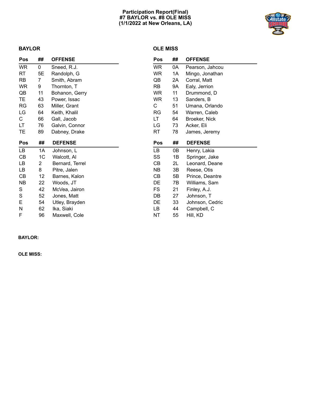## **Participation Report(Final) #7 BAYLOR vs. #8 OLE MISS (1/1/2022 at New Orleans, LA)**



## **BAYLOR**

## **OLE MISS**

| Pos       | ##             | <b>OFFENSE</b>  | Pos        | ## | <b>OFFENSE</b>  |
|-----------|----------------|-----------------|------------|----|-----------------|
| <b>WR</b> | 0              | Sneed, R.J.     | WR         | 0A | Pearson, Jahcou |
| RT        | 5E             | Randolph, G     | <b>WR</b>  | 1A | Mingo, Jonathan |
| <b>RB</b> | $\overline{7}$ | Smith, Abram    | QB         | 2A | Corral, Matt    |
| <b>WR</b> | 9              | Thornton, T     | <b>RB</b>  | 9A | Ealy, Jerrion   |
| QB        | 11             | Bohanon, Gerry  | <b>WR</b>  | 11 | Drummond, D     |
| TE.       | 43             | Power, Issac    | <b>WR</b>  | 13 | Sanders, B      |
| <b>RG</b> | 63             | Miller, Grant   | C          | 51 | Umana, Orlando  |
| LG        | 64             | Keith, Khalil   | RG         | 54 | Warren, Caleb   |
| С         | 66             | Gall, Jacob     | LT         | 64 | Broeker, Nick   |
| LT        | 76             | Galvin, Connor  | LG         | 73 | Acker, Eli      |
| TE        | 89             | Dabney, Drake   | <b>RT</b>  | 78 | James, Jeremy   |
|           |                |                 |            |    |                 |
| Pos       | ##             | <b>DEFENSE</b>  | <b>Pos</b> | ## | <b>DEFENSE</b>  |
| LB        | 1A             | Johnson, L      | LB         | 0Β | Henry, Lakia    |
| СB        | 1 <sup>C</sup> | Walcott, Al     | SS         | 1B | Springer, Jake  |
| LB        | 2              | Bernard, Terrel | СB         | 2L | Leonard, Deane  |
| LB        | 8              | Pitre, Jalen    | <b>NB</b>  | 3B | Reese, Otis     |
| СB        | 12             | Barnes, Kalon   | CB         | 5B | Prince, Deantre |
| <b>NB</b> | 22             | Woods, JT       | DE         | 7В | Williams, Sam   |
| S         | 42             | McVea, Jairon   | FS         | 21 | Finley, A.J.    |
| S         | 52             | Jones, Matt     | DB         | 27 | Johnson, T      |
| Е         | 54             | Utley, Brayden  | DE         | 33 | Johnson, Cedric |
| N         | 62             | Ika, Siaki      | LB         | 44 | Campbell, C     |

## **BAYLOR:**

**OLE MISS:**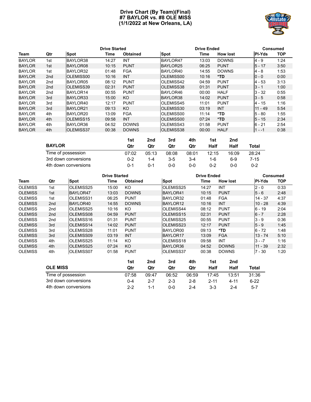## **Drive Chart (By Team)(Final) #7 BAYLOR vs. #8 OLE MISS (1/1/2022 at New Orleans, LA)**



|               |                 |                   | <b>Drive Started</b> |                 |                  | <b>Drive Ended</b> | <b>Consumed</b> |               |            |
|---------------|-----------------|-------------------|----------------------|-----------------|------------------|--------------------|-----------------|---------------|------------|
| Team          | Qtr             | Spot              | Time                 | <b>Obtained</b> | <b>Spot</b>      | Time               | <b>How lost</b> | <b>PI-Yds</b> | <b>TOP</b> |
| <b>BAYLOR</b> | 1st             | BAYLOR38          | 14:27                | <b>INT</b>      | BAYLOR47         | 13:03              | <b>DOWNS</b>    | $4 - 9$       | 1:24       |
| <b>BAYLOR</b> | 1st             | BAYLOR08          | 10:15                | <b>PUNT</b>     | BAYLOR25         | 06:25              | <b>PUNT</b>     | $5 - 17$      | 3:50       |
| <b>BAYLOR</b> | 1st             | BAYLOR32          | 01:48                | <b>FGA</b>      | BAYLOR40         | 14:55              | <b>DOWNS</b>    | $4 - 8$       | 1:53       |
| <b>BAYLOR</b> | 2 <sub>nd</sub> | <b>IOLEMISS00</b> | 10:16                | <b>INT</b>      | <b>OLEMISS00</b> | 10:16              | *TD             | $10 - 0$      | 0:00       |
| <b>BAYLOR</b> | 2nd             | BAYLOR05          | 08:12                | <b>PUNT</b>     | <b>OLEMISS42</b> | 04:59              | <b>PUNT</b>     | $4 - 53$      | 3:13       |
| <b>BAYLOR</b> | 2 <sub>nd</sub> | <b>OLEMISS39</b>  | 02:31                | <b>PUNT</b>     | <b>OLEMISS38</b> | 01:31              | <b>PUNT</b>     | $3 - 1$       | 1:00       |
| <b>BAYLOR</b> | 2nd             | BAYLOR14          | 00:55                | <b>PUNT</b>     | BAYLOR46         | 00:00              | <b>HALF</b>     | $3 - 32$      | 0:55       |
| <b>BAYLOR</b> | 3rd             | BAYLOR33          | 15:00                | KO.             | BAYLOR38         | 14:02              | <b>PUNT</b>     | $3 - 5$       | 0:58       |
| <b>BAYLOR</b> | 3rd             | BAYLOR40          | 12:17                | <b>PUNT</b>     | <b>OLEMISS45</b> | 11:01              | <b>PUNT</b>     | 4 - 15        | 1:16       |
| <b>BAYLOR</b> | 3rd             | BAYLOR21          | 09:13                | KO.             | <b>OLEMISS30</b> | 03:19              | <b>INT</b>      | $11 - 49$     | 5:54       |
| <b>BAYLOR</b> | 4th             | BAYLOR20          | 13:09                | <b>FGA</b>      | OLEMISS00        | 11:14              | *TD             | $5 - 80$      | 1:55       |
| <b>BAYLOR</b> | 4th             | <b>OLEMISS15</b>  | 09:58                | <b>INT</b>      | <b>OLEMISS00</b> | 07:24              | *TD             | $5 - 15$      | 2:34       |
| <b>BAYLOR</b> | 4th             | BAYLOR36          | 04:52                | <b>DOWNS</b>    | <b>OLEMISS43</b> | 01:58              | <b>PUNT</b>     | $6 - 21$      | 2:54       |
| <b>BAYLOR</b> | 4th             | <b>OLEMISS37</b>  | 00:38                | <b>DOWNS</b>    | <b>OLEMISS38</b> | 00:00              | <b>HALF</b>     | $1 - -1$      | 0:38       |

|                      | 1st     | 2nd   | 3rd     | 4th     | 1st   | 2nd   |       |
|----------------------|---------|-------|---------|---------|-------|-------|-------|
| <b>BAYLOR</b>        | Qtr     | Qtr   | Qtr     | Qtr     | Half  | Half  | Total |
| Time of possession   | 07:02   | 05:13 | 08:08   | 08:01   | 12:15 | 16:09 | 28:24 |
| 3rd down conversions | $0 - 2$ | 1-4   | $3 - 5$ | $3 - 4$ | 1-6   | $6-9$ | 7-15  |
| 4th down conversions | 0-1     | 0-1   | 0-0     | $0 - 0$ | 0-2   | 0-0   | 0-2   |

| <b>Drive Started</b> |                                       |                      |       |                 |         |                  |         | <b>Drive Ended</b> |                 |           | <b>Consumed</b> |  |  |
|----------------------|---------------------------------------|----------------------|-------|-----------------|---------|------------------|---------|--------------------|-----------------|-----------|-----------------|--|--|
| Team                 | Qtr                                   | <b>Spot</b>          | Time  | <b>Obtained</b> |         | Spot             |         | Time               | <b>How lost</b> | PI-Yds    | <b>TOP</b>      |  |  |
| <b>OLEMISS</b>       | 1st                                   | OLEMISS25            | 15:00 | KO              |         | OLEMISS25        |         | 14:27              | <b>INT</b>      | $2 - 0$   | 0:33            |  |  |
| <b>OLEMISS</b>       | 1st                                   | BAYLOR47             | 13:03 | <b>DOWNS</b>    |         | BAYLOR41         |         | 10:15              | <b>PUNT</b>     | $5 - 6$   | 2:48            |  |  |
| <b>OLEMISS</b>       | 1st                                   | <b>OLEMISS31</b>     | 06:25 | <b>PUNT</b>     |         | BAYLOR32         |         | 01:48              | <b>FGA</b>      | $14 - 37$ | 4:37            |  |  |
| <b>OLEMISS</b>       | 2 <sub>nd</sub>                       | BAYLOR40             | 14:55 | <b>DOWNS</b>    |         | BAYLOR12         |         | 10:16              | <b>INT</b>      | $10 - 28$ | 4:39            |  |  |
| <b>OLEMISS</b>       | 2nd                                   | OLEMISS25            | 10:16 | KO              |         | OLEMISS44        |         | 08:12              | <b>PUNT</b>     | $6 - 19$  | 2:04            |  |  |
| <b>OLEMISS</b>       | 2nd                                   | <b>OLEMISS08</b>     | 04:59 | <b>PUNT</b>     |         | <b>OLEMISS15</b> |         | 02:31              | <b>PUNT</b>     | $6 - 7$   | 2:28            |  |  |
| <b>OLEMISS</b>       | 2nd                                   | OLEMISS16            | 01:31 | <b>PUNT</b>     |         | OLEMISS25        |         | 00:55              | <b>PUNT</b>     | $3 - 9$   | 0:36            |  |  |
| <b>OLEMISS</b>       | 3rd                                   | <b>OLEMISS14</b>     | 14:02 | <b>PUNT</b>     |         | <b>OLEMISS23</b> |         | 12:17              | <b>PUNT</b>     | $5 - 9$   | 1:45            |  |  |
| <b>OLEMISS</b>       | 3rd                                   | OLEMISS28            | 11:01 | <b>PUNT</b>     |         | BAYLOR00         |         | 09:13              | *TD             | $6 - 72$  | 1:48            |  |  |
| <b>OLEMISS</b>       | 3rd                                   | <b>OLEMISS09</b>     | 03:19 | <b>INT</b>      |         | <b>BAYLOR17</b>  |         | 13:09              | <b>FGA</b>      | $13 - 74$ | 5:10            |  |  |
| <b>OLEMISS</b>       | 4th                                   | OLEMISS25            | 11:14 | KO              |         | OLEMISS18        |         | 09:58              | <b>INT</b>      | $3 - -7$  | 1:16            |  |  |
| <b>OLEMISS</b>       | 4th                                   | <b>OLEMISS25</b>     | 07:24 | KO              |         | BAYLOR36         |         | 04:52              | <b>DOWNS</b>    | $11 - 39$ | 2:32            |  |  |
| <b>OLEMISS</b>       | 4th                                   | OLEMISS07            | 01:58 | <b>PUNT</b>     |         | <b>OLEMISS37</b> |         | 00:38              | <b>DOWNS</b>    | $7 - 30$  | 1:20            |  |  |
|                      |                                       |                      |       | 1st             | 2nd     | 3rd              | 4th     | 1st                | 2nd             |           |                 |  |  |
|                      | <b>OLE MISS</b><br>Time of possession |                      |       | Qtr             | Qtr     | Qtr              | Qtr     | Half               | Half            | Total     |                 |  |  |
|                      |                                       |                      |       | 07:58           | 09:47   | 06:52            | 06:59   | 17:45              | 13:51           | 31:36     |                 |  |  |
|                      |                                       | 3rd down conversions |       | $0 - 4$         | $2 - 7$ | $2 - 3$          | $2 - 8$ | $2 - 11$           | $4 - 11$        | $6 - 22$  |                 |  |  |
|                      | 4th down conversions                  |                      |       |                 | $1 - 1$ | $0-0$            | $2 - 4$ | $3 - 3$            | $2 - 4$         | $5 - 7$   |                 |  |  |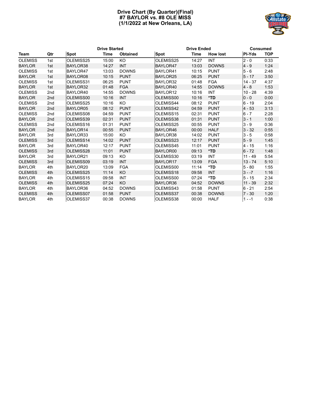## **Drive Chart (By Quarter)(Final) #7 BAYLOR vs. #8 OLE MISS (1/1/2022 at New Orleans, LA)**



|                |                 |             | <b>Drive Started</b> |                 |                 | <b>Drive Ended</b> |                 | <b>Consumed</b> |            |  |
|----------------|-----------------|-------------|----------------------|-----------------|-----------------|--------------------|-----------------|-----------------|------------|--|
| Team           | Qtr             | <b>Spot</b> | Time                 | <b>Obtained</b> | <b>Spot</b>     | Time               | <b>How lost</b> | <b>PI-Yds</b>   | <b>TOP</b> |  |
| <b>OLEMISS</b> | 1st             | OLEMISS25   | 15:00                | KO              | OLEMISS25       | 14:27              | <b>INT</b>      | $2 - 0$         | 0:33       |  |
| <b>BAYLOR</b>  | 1st             | BAYLOR38    | 14:27                | <b>INT</b>      | BAYLOR47        | 13:03              | <b>DOWNS</b>    | $4 - 9$         | 1:24       |  |
| <b>OLEMISS</b> | 1st             | BAYLOR47    | 13:03                | <b>DOWNS</b>    | BAYLOR41        | 10:15              | <b>PUNT</b>     | $5 - 6$         | 2:48       |  |
| <b>BAYLOR</b>  | 1st             | BAYLOR08    | 10:15                | <b>PUNT</b>     | BAYLOR25        | 06:25              | <b>PUNT</b>     | $5 - 17$        | 3:50       |  |
| <b>OLEMISS</b> | 1st             | OLEMISS31   | 06:25                | <b>PUNT</b>     | BAYLOR32        | 01:48              | <b>FGA</b>      | 14 - 37         | 4:37       |  |
| <b>BAYLOR</b>  | 1st             | BAYLOR32    | 01:48                | <b>FGA</b>      | BAYLOR40        | 14:55              | <b>DOWNS</b>    | $4 - 8$         | 1:53       |  |
| <b>OLEMISS</b> | 2nd             | BAYLOR40    | 14:55                | <b>DOWNS</b>    | BAYLOR12        | 10:16              | INT             | $10 - 28$       | 4:39       |  |
| <b>BAYLOR</b>  | 2 <sub>nd</sub> | OLEMISS00   | 10:16                | <b>INT</b>      | OLEMISS00       | 10:16              | *TD             | $0 - 0$         | 0:00       |  |
| <b>OLEMISS</b> | 2 <sub>nd</sub> | OLEMISS25   | 10:16                | KO              | OLEMISS44       | 08:12              | <b>PUNT</b>     | $6 - 19$        | 2:04       |  |
| <b>BAYLOR</b>  | 2 <sub>nd</sub> | BAYLOR05    | 08:12                | <b>PUNT</b>     | OLEMISS42       | 04:59              | <b>PUNT</b>     | $4 - 53$        | 3:13       |  |
| <b>OLEMISS</b> | 2 <sub>nd</sub> | OLEMISS08   | 04:59                | <b>PUNT</b>     | OLEMISS15       | 02:31              | <b>PUNT</b>     | $6 - 7$         | 2:28       |  |
| <b>BAYLOR</b>  | 2 <sub>nd</sub> | OLEMISS39   | 02:31                | <b>PUNT</b>     | OLEMISS38       | 01:31              | <b>PUNT</b>     | $3 - 1$         | 1:00       |  |
| <b>OLEMISS</b> | 2nd             | OLEMISS16   | 01:31                | <b>PUNT</b>     | OLEMISS25       | 00:55              | <b>PUNT</b>     | $3 - 9$         | 0:36       |  |
| <b>BAYLOR</b>  | 2nd             | BAYLOR14    | 00:55                | <b>PUNT</b>     | BAYLOR46        | 00:00              | <b>HALF</b>     | $3 - 32$        | 0:55       |  |
| <b>BAYLOR</b>  | 3rd             | BAYLOR33    | 15:00                | KO              | BAYLOR38        | 14:02              | <b>PUNT</b>     | $3 - 5$         | 0:58       |  |
| <b>OLEMISS</b> | 3rd             | OLEMISS14   | 14:02                | <b>PUNT</b>     | OLEMISS23       | 12:17              | <b>PUNT</b>     | $5 - 9$         | 1:45       |  |
| <b>BAYLOR</b>  | 3rd             | BAYLOR40    | 12:17                | <b>PUNT</b>     | OLEMISS45       | 11:01              | <b>PUNT</b>     | 4 - 15          | 1:16       |  |
| <b>OLEMISS</b> | 3rd             | OLEMISS28   | 11:01                | <b>PUNT</b>     | <b>BAYLOR00</b> | 09:13              | *TD             | $6 - 72$        | 1:48       |  |
| <b>BAYLOR</b>  | 3rd             | BAYLOR21    | 09:13                | KO              | OLEMISS30       | 03:19              | INT             | $11 - 49$       | 5:54       |  |
| <b>OLEMISS</b> | 3rd             | OLEMISS09   | 03:19                | <b>INT</b>      | BAYLOR17        | 13:09              | <b>FGA</b>      | $13 - 74$       | 5:10       |  |
| <b>BAYLOR</b>  | 4th             | BAYLOR20    | 13:09                | <b>FGA</b>      | OLEMISS00       | 11:14              | *TD             | $5 - 80$        | 1:55       |  |
| <b>OLEMISS</b> | 4th             | OLEMISS25   | 11:14                | KO              | OLEMISS18       | 09:58              | <b>INT</b>      | $3 - -7$        | 1:16       |  |
| <b>BAYLOR</b>  | 4th             | OLEMISS15   | 09:58                | <b>INT</b>      | OLEMISS00       | 07:24              | *TD             | $5 - 15$        | 2:34       |  |
| <b>OLEMISS</b> | 4th             | OLEMISS25   | 07:24                | <b>KO</b>       | BAYLOR36        | 04:52              | <b>DOWNS</b>    | $11 - 39$       | 2:32       |  |
| <b>BAYLOR</b>  | 4th             | BAYLOR36    | 04:52                | <b>DOWNS</b>    | OLEMISS43       | 01:58              | <b>PUNT</b>     | $6 - 21$        | 2:54       |  |
| <b>OLEMISS</b> | 4th             | OLEMISS07   | 01:58                | <b>PUNT</b>     | OLEMISS37       | 00:38              | <b>DOWNS</b>    | $7 - 30$        | 1:20       |  |
| <b>BAYLOR</b>  | 4th             | OLEMISS37   | 00:38                | <b>DOWNS</b>    | OLEMISS38       | 00:00              | <b>HALF</b>     | $1 - -1$        | 0:38       |  |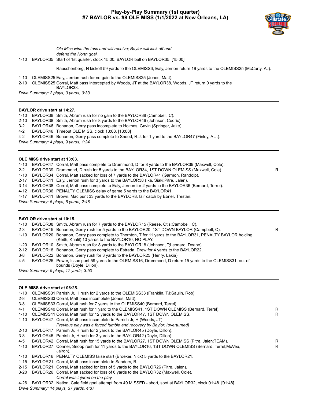## **Play-by-Play Summary (1st quarter) #7 BAYLOR vs. #8 OLE MISS (1/1/2022 at New Orleans, LA)**



*Ole Miss wins the toss and will receive; Baylor will kick off and defend the North goal.*

1-10 BAYLOR35 Start of 1st quarter, clock 15:00, BAYLOR ball on BAYLOR35. [15:00]

Rauschenberg, N kickoff 59 yards to the OLEMISS6, Ealy, Jerrion return 19 yards to the OLEMISS25 (McCarty, AJ).

1-10 OLEMISS25 Ealy, Jerrion rush for no gain to the OLEMISS25 (Jones, Matt).

2-10 OLEMISS25 Corral, Matt pass intercepted by Woods, JT at the BAYLOR38, Woods, JT return 0 yards to the BAYLOR38.

*Drive Summary: 2 plays, 0 yards, 0:33*

#### **BAYLOR drive start at 14:27.**

1-10 BAYLOR38 Smith, Abram rush for no gain to the BAYLOR38 (Campbell, C).

- 2-10 BAYLOR38 Smith, Abram rush for 8 yards to the BAYLOR46 (Johnson, Cedric).
- 3-2 BAYLOR46 Bohanon, Gerry pass incomplete to Holmes, Gavin (Springer, Jake).

4-2 BAYLOR46 Timeout OLE MISS, clock 13:08. [13:08]

4-2 BAYLOR46 Bohanon, Gerry pass complete to Sneed, R.J. for 1 yard to the BAYLOR47 (Finley, A.J.).

*Drive Summary: 4 plays, 9 yards, 1:24*

#### **OLE MISS drive start at 13:03.**

1-10 BAYLOR47 Corral, Matt pass complete to Drummond, D for 8 yards to the BAYLOR39 (Maxwell, Cole).

2-2 BAYLOR39 Drummond, D rush for 5 yards to the BAYLOR34, 1ST DOWN OLEMISS (Maxwell, Cole).

1-10 BAYLOR34 Corral, Matt sacked for loss of 7 yards to the BAYLOR41 (Garmon, Randolp).

2-17 BAYLOR41 Ealy, Jerrion rush for 3 yards to the BAYLOR38 (Ika, Siaki;Pitre, Jalen).

3-14 BAYLOR38 Corral, Matt pass complete to Ealy, Jerrion for 2 yards to the BAYLOR36 (Bernard, Terrel).

4-12 BAYLOR36 PENALTY OLEMISS delay of game 5 yards to the BAYLOR41.

4-17 BAYLOR41 Brown, Mac punt 33 yards to the BAYLOR8, fair catch by Ebner, Trestan.

*Drive Summary: 5 plays, 6 yards, 2:48*

#### **BAYLOR drive start at 10:15.**

| 1-10    | BAYLOR08 Smith, Abram rush for 7 yards to the BAYLOR15 (Reese, Otis:Campbell, C).                                                                               |   |
|---------|-----------------------------------------------------------------------------------------------------------------------------------------------------------------|---|
| $2 - 3$ | BAYLOR15 Bohanon, Gerry rush for 5 yards to the BAYLOR20, 1ST DOWN BAYLOR (Campbell, C).                                                                        | R |
| 1-10    | BAYLOR20 Bohanon, Gerry pass complete to Thornton, T for 11 yards to the BAYLOR31, PENALTY BAYLOR holding<br>(Keith, Khalil) 10 yards to the BAYLOR10, NO PLAY. |   |
|         | 1-20 BAYLOR10 Smith, Abram rush for 8 yards to the BAYLOR18 (Johnson, T;Leonard, Deane).                                                                        |   |
|         | 2-12 BAYLOR18 Bohanon, Gerry pass complete to Estrada, Drew for 4 yards to the BAYLOR22.                                                                        |   |
| 3-8     | BAYLOR22 Bohanon, Gerry rush for 3 yards to the BAYLOR25 (Henry, Lakia).                                                                                        |   |
| 4-5     | BAYLOR25 Power, Issac punt 59 yards to the OLEMISS16, Drummond, D return 15 yards to the OLEMISS31, out-of-                                                     |   |
|         | bounds (Doyle, Dillon).                                                                                                                                         |   |
|         | Drive Summary: 5 plays, 17 yards, 3:50                                                                                                                          |   |

#### **OLE MISS drive start at 06:25.**

|                                                                        | R.                                                                                                                                                                                                                                                                                                                                                                                                                                                                                                                                                                                                                                                                                                                                                                                                                                                                                                                                                                                                                                                                                                                                                                      |
|------------------------------------------------------------------------|-------------------------------------------------------------------------------------------------------------------------------------------------------------------------------------------------------------------------------------------------------------------------------------------------------------------------------------------------------------------------------------------------------------------------------------------------------------------------------------------------------------------------------------------------------------------------------------------------------------------------------------------------------------------------------------------------------------------------------------------------------------------------------------------------------------------------------------------------------------------------------------------------------------------------------------------------------------------------------------------------------------------------------------------------------------------------------------------------------------------------------------------------------------------------|
|                                                                        | R.                                                                                                                                                                                                                                                                                                                                                                                                                                                                                                                                                                                                                                                                                                                                                                                                                                                                                                                                                                                                                                                                                                                                                                      |
|                                                                        |                                                                                                                                                                                                                                                                                                                                                                                                                                                                                                                                                                                                                                                                                                                                                                                                                                                                                                                                                                                                                                                                                                                                                                         |
| Previous play was a forced fumble and recovery by Baylor. (overturned) |                                                                                                                                                                                                                                                                                                                                                                                                                                                                                                                                                                                                                                                                                                                                                                                                                                                                                                                                                                                                                                                                                                                                                                         |
|                                                                        |                                                                                                                                                                                                                                                                                                                                                                                                                                                                                                                                                                                                                                                                                                                                                                                                                                                                                                                                                                                                                                                                                                                                                                         |
|                                                                        |                                                                                                                                                                                                                                                                                                                                                                                                                                                                                                                                                                                                                                                                                                                                                                                                                                                                                                                                                                                                                                                                                                                                                                         |
|                                                                        | R.                                                                                                                                                                                                                                                                                                                                                                                                                                                                                                                                                                                                                                                                                                                                                                                                                                                                                                                                                                                                                                                                                                                                                                      |
| Jairon).                                                               | R                                                                                                                                                                                                                                                                                                                                                                                                                                                                                                                                                                                                                                                                                                                                                                                                                                                                                                                                                                                                                                                                                                                                                                       |
|                                                                        |                                                                                                                                                                                                                                                                                                                                                                                                                                                                                                                                                                                                                                                                                                                                                                                                                                                                                                                                                                                                                                                                                                                                                                         |
|                                                                        |                                                                                                                                                                                                                                                                                                                                                                                                                                                                                                                                                                                                                                                                                                                                                                                                                                                                                                                                                                                                                                                                                                                                                                         |
|                                                                        |                                                                                                                                                                                                                                                                                                                                                                                                                                                                                                                                                                                                                                                                                                                                                                                                                                                                                                                                                                                                                                                                                                                                                                         |
|                                                                        |                                                                                                                                                                                                                                                                                                                                                                                                                                                                                                                                                                                                                                                                                                                                                                                                                                                                                                                                                                                                                                                                                                                                                                         |
| Corral was injured on the play.                                        |                                                                                                                                                                                                                                                                                                                                                                                                                                                                                                                                                                                                                                                                                                                                                                                                                                                                                                                                                                                                                                                                                                                                                                         |
|                                                                        | OLEMISS31 Parrish Jr, H rush for 2 yards to the OLEMISS33 (Franklin, TJ;Saulin, Rob).<br>OLEMISS33 Corral, Matt pass incomplete (Jones, Matt).<br>OLEMISS33 Corral, Matt rush for 7 yards to the OLEMISS40 (Bernard, Terrel).<br>OLEMISS40 Corral, Matt rush for 1 yard to the OLEMISS41, 1ST DOWN OLEMISS (Bernard, Terrel).<br>OLEMISS41 Corral, Matt rush for 12 yards to the BAYLOR47, 1ST DOWN OLEMISS.<br>BAYLOR47 Corral, Matt pass incomplete to Parrish Jr, H (Woods, JT).<br>BAYLOR47 Parrish Jr, H rush for 2 yards to the BAYLOR45 (Doyle, Dillon).<br>BAYLOR45 Parrish Jr. H rush for 3 yards to the BAYLOR42 (Doyle, Dillon).<br>BAYLOR42 Corral, Matt rush for 15 yards to the BAYLOR27, 1ST DOWN OLEMISS (Pitre, Jalen; TEAM).<br>BAYLOR27 Conner, Snoop rush for 11 yards to the BAYLOR16, 1ST DOWN OLEMISS (Bernard, Terrel; McVea,<br>BAYLOR16 PENALTY OLEMISS false start (Broeker, Nick) 5 yards to the BAYLOR21.<br>BAYLOR21 Corral, Matt pass incomplete to Sanders, B.<br>BAYLOR21 Corral, Matt sacked for loss of 5 yards to the BAYLOR26 (Pitre, Jalen).<br>BAYLOR26 Corral, Matt sacked for loss of 6 yards to the BAYLOR32 (Maxwell, Cole). |

4-26 BAYLOR32 Nation, Cale field goal attempt from 49 MISSED - short, spot at BAYLOR32, clock 01:48. [01:48] *Drive Summary: 14 plays, 37 yards, 4:37*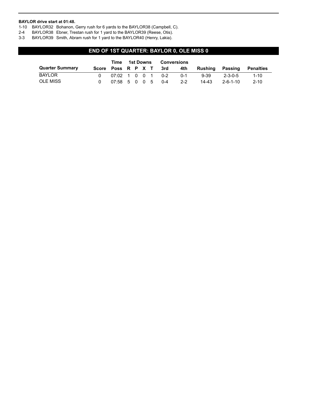#### **BAYLOR drive start at 01:48.**

- 1-10 BAYLOR32 Bohanon, Gerry rush for 6 yards to the BAYLOR38 (Campbell, C).
- 2-4 BAYLOR38 Ebner, Trestan rush for 1 yard to the BAYLOR39 (Reese, Otis).
- 3-3 BAYLOR39 Smith, Abram rush for 1 yard to the BAYLOR40 (Henry, Lakia).

## **END OF 1ST QUARTER: BAYLOR 0, OLE MISS 0**

|                        | Time                | 1st Downs<br>Conversions |  |  |  |     |         |           |                  |           |
|------------------------|---------------------|--------------------------|--|--|--|-----|---------|-----------|------------------|-----------|
| <b>Quarter Summary</b> | Score Poss R P X T  |                          |  |  |  | 3rd | 4th     | Rushing   | Passing          | Penalties |
| <b>BAYLOR</b>          | 07:02 1 0 0 1 0-2   |                          |  |  |  |     | $0 - 1$ | 9-39      | $2 - 3 - 0 - 5$  | $1 - 10$  |
| OLE MISS               | $07:58$ 5 0 0 5 0-4 |                          |  |  |  |     | $2 - 2$ | $14 - 43$ | $2 - 6 - 1 - 10$ | $2 - 10$  |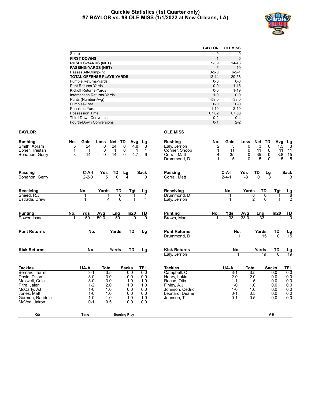#### **Quickie Statistics (1st Quarter only) #7 BAYLOR vs. #8 OLE MISS (1/1/2022 at New Orleans, LA)**



|                                   | <b>BAYLOR</b> | <b>OLEMISS</b> |
|-----------------------------------|---------------|----------------|
| Score                             | 0             | 0              |
| <b>FIRST DOWNS</b>                | 1             | 5              |
| <b>RUSHES-YARDS (NET)</b>         | $9 - 39$      | $14 - 43$      |
| <b>PASSING-YARDS (NET)</b>        | 5             | 10             |
| Passes Att-Comp-Int               | $3 - 2 - 0$   | $6 - 2 - 1$    |
| <b>TOTAL OFFENSE PLAYS-YARDS</b>  | $12 - 44$     | $20 - 53$      |
| <b>Fumble Returns-Yards</b>       | $0 - 0$       | $0 - 0$        |
| <b>Punt Returns-Yards</b>         | $0 - 0$       | $1 - 15$       |
| Kickoff Returns-Yards             | $0 - 0$       | $1 - 19$       |
| <b>Interception Returns-Yards</b> | $1 - 0$       | $0 - 0$        |
| Punts (Number-Avg)                | $1 - 59.0$    | $1 - 33.0$     |
| Fumbles-Lost                      | $0 - 0$       | $0-0$          |
| Penalties-Yards                   | $1 - 10$      | $2 - 10$       |
| Possession Time                   | 07:02         | 07:58          |
| <b>Third-Down Conversions</b>     | $0 - 2$       | $0 - 4$        |
| <b>Fourth-Down Conversions</b>    | $0 - 1$       | $2 - 2$        |

#### **BAYLOR OLE MISS**

| <b>Rushing</b>                 | No. | Gain           | Loss             | Net             | TD<br>Avg                            | Lg                | <b>Rushing</b>              | No.            | Gain               | Loss         | Net              | TD              | Avg                                     |                        |
|--------------------------------|-----|----------------|------------------|-----------------|--------------------------------------|-------------------|-----------------------------|----------------|--------------------|--------------|------------------|-----------------|-----------------------------------------|------------------------|
| Smith, Abram                   | 5   | 24             | 0                | $\overline{24}$ | 0<br>4.8                             | 8                 | Ealy, Jerrion               | $\overline{2}$ | 3                  | $\Omega$     | 3                | $\Omega$        | 1.5                                     | $\frac{Lg}{3}$         |
| Ebner, Trestan                 |     | 1              | 0                | $\mathbf 1$     | $\begin{matrix} 0 \\ 0 \end{matrix}$ | $\mathbf{1}$<br>1 | Conner, Snoop               | 1              | 11                 | 0            | 11               | 0               | 11                                      | 11                     |
| Bohanon, Gerry                 | 3   | 14             | $\overline{0}$   | 14              | 4.7                                  | 6                 | Corral, Matt                | 4              | 35                 | $\mathbf 0$  | 35               | $\mathbf 0$     | $\begin{array}{c} 8.8 \\ 5 \end{array}$ | $\frac{15}{5}$         |
|                                |     |                |                  |                 |                                      |                   | Drummond, D                 | 1              | 5                  | $\Omega$     | 5                | $\mathbf{0}$    |                                         |                        |
| Passing                        |     | $C-A-I$        | Yds              | TD              | Lg                                   | Sack              | Passing                     |                | $C-A-I$            | Yds          | TD               | <u>Lg</u>       |                                         | <b>Sack</b>            |
| Bohanon, Gerry                 |     | $2 - 2 - 0$    | 5                | $\overline{0}$  | $\boldsymbol{4}$                     | $\Omega$          | Corral. Matt                |                | $2 - 4 - 1$        | -8           | $\overline{0}$   | $\overline{8}$  |                                         |                        |
| Receiving                      |     | No.            | Yards            | TD              | Tgt                                  | Lg                | Receiving                   |                | No.                | Yards        |                  | TD              | Tgt                                     | $\frac{\text{Lg}}{8}$  |
| Sneed, R.J.                    |     |                | 1                | 0               |                                      |                   | Drummond, D                 |                |                    |              | 8                | 0               |                                         |                        |
| Estrada, Drew                  |     | 1              | 4                | $\Omega$        |                                      | 4                 | Ealy, Jerrion               |                |                    |              | $\overline{2}$   | $\Omega$        |                                         | $\overline{2}$         |
| <b>Punting</b>                 | No. | Yds            | Avg              | Lng             | In20                                 | TВ                | <b>Punting</b>              | No.            | Yds                | Avg          | Lng              |                 | In20                                    | $\frac{TB}{0}$         |
| Power, Issac                   | 1   | 59             | 59.0             | 59              | $\Omega$                             | $\overline{0}$    | Brown, Mac                  |                | 33                 | 33.0         | $\overline{33}$  |                 |                                         |                        |
| <b>Punt Returns</b>            |     | No.            |                  | Yards           | <b>TD</b>                            | Lg                | <b>Punt Returns</b>         |                | No.                |              | Yards            |                 | TD                                      | $\frac{\text{Lg}}{15}$ |
|                                |     |                |                  |                 |                                      |                   | Drummond. D                 |                |                    |              |                  | $\overline{15}$ | $\overline{0}$                          |                        |
| <b>Kick Returns</b>            |     | No.            |                  | Yards           | <b>TD</b>                            | Lg                | <b>Kick Returns</b>         |                | No.                |              | Yards            |                 | TD                                      | $\frac{\text{Lg}}{19}$ |
|                                |     |                |                  |                 |                                      |                   | Ealy, Jerrion               |                |                    |              |                  | 19              | $\Omega$                                |                        |
| <b>Tackles</b>                 |     | UA-A           | <b>Total</b>     |                 | <b>Sacks</b>                         | <b>TFL</b>        | <b>Tackles</b>              |                | UA-A               | <b>Total</b> |                  | <b>Sacks</b>    |                                         | <b>TFL</b>             |
| Bernard, Terrel                |     | $3 - 1$        | $\overline{3.5}$ |                 | 0.0                                  | 0.0               | Campbell, C                 |                | $3-1$              |              | $\overline{3.5}$ |                 | 0.0                                     | 0.0                    |
| Doyle, Dillon<br>Maxwell, Cole |     | $3-0$<br>$3-0$ | 3.0<br>3.0       |                 | 0.0<br>1.0                           | 0.0<br>1.0        | Henry, Lakia<br>Reese, Otis |                | $2 - 0$<br>$1 - 1$ |              | 2.0<br>1.5       |                 | 0.0<br>0.0                              | 0.0                    |
| Pitre, Jalen                   |     | $1 - 2$        | 2.0              |                 | 1.0                                  | 1.0               | Finley, A.J.                |                | $1 - 0$            |              | 1.0              |                 | 0.0                                     | 0.0<br>0.0             |
| McCarty, AJ                    |     | $1 - 0$        | 1.0              |                 | 0.0                                  | 0.0               | Johnson, Cedric             |                | $1 - 0$            |              | 1.0              |                 | 0.0                                     | 0.0                    |
| Jones, Matt                    |     | $1 - 0$        | 1.0              |                 | 0.0                                  | 0.0               | Leonard, Deane              |                | $0 - 1$            |              | 0.5              |                 | 0.0                                     | 0.0                    |
| Garmon, Randolp                |     | $1 - 0$        | 1.0              |                 | 1.0                                  | 1.0               | Johnson, T                  |                | $0 - 1$            |              | 0.5              |                 | 0.0                                     | 0.0                    |
| McVea, Jairon                  |     | $0 - 1$        | 0.5              |                 | 0.0                                  | 0.0               |                             |                |                    |              |                  |                 |                                         |                        |
| Qtr                            |     | <b>Time</b>    |                  |                 | <b>Scoring Play</b>                  |                   |                             |                |                    |              |                  | V-H             |                                         |                        |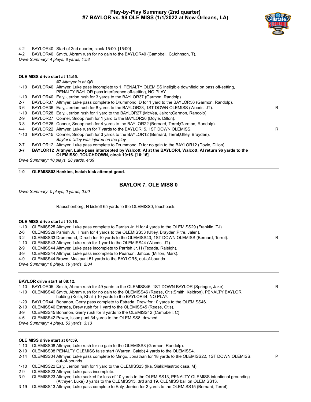## **Play-by-Play Summary (2nd quarter) #7 BAYLOR vs. #8 OLE MISS (1/1/2022 at New Orleans, LA)**



P

4-2 BAYLOR40 Start of 2nd quarter, clock 15:00. [15:00]

4-2 BAYLOR40 Smith, Abram rush for no gain to the BAYLOR40 (Campbell, C;Johnson, T). *Drive Summary: 4 plays, 8 yards, 1:53*

|          | OLE MISS drive start at 14:55. |                                                                                                                                                                  |    |
|----------|--------------------------------|------------------------------------------------------------------------------------------------------------------------------------------------------------------|----|
|          |                                | #7 Altmyer in at QB                                                                                                                                              |    |
| 1-10     |                                | BAYLOR40 Altmyer, Luke pass incomplete to 1, PENALTY OLEMISS ineligible downfield on pass off-setting,<br>PENALTY BAYLOR pass interference off-setting, NO PLAY. |    |
| 1-10     |                                | BAYLOR40 Ealy, Jerrion rush for 3 yards to the BAYLOR37 (Garmon, Randolp).                                                                                       |    |
| $2 - 7$  |                                | BAYLOR37 Altmyer, Luke pass complete to Drummond, D for 1 yard to the BAYLOR36 (Garmon, Randolp).                                                                |    |
| 3-6      |                                | BAYLOR36 Ealy, Jerrion rush for 8 yards to the BAYLOR28, 1ST DOWN OLEMISS (Woods, JT).                                                                           | R. |
| $1 - 10$ |                                | BAYLOR28 Ealy, Jerrion rush for 1 yard to the BAYLOR27 (McVea, Jairon; Garmon, Randolp).                                                                         |    |
| $2-9$    |                                | BAYLOR27 Conner, Snoop rush for 1 yard to the BAYLOR26 (Doyle, Dillon).                                                                                          |    |
| $3-8$    |                                | BAYLOR26 Conner, Snoop rush for 4 yards to the BAYLOR22 (Bernard, Terrel; Garmon, Randolp).                                                                      |    |
| $4 - 4$  |                                | BAYLOR22 Altmyer, Luke rush for 7 yards to the BAYLOR15, 1ST DOWN OLEMISS.                                                                                       | R. |
| $1 - 10$ |                                | BAYLOR15 Conner, Snoop rush for 3 yards to the BAYLOR12 (Bernard, Terrel; Utley, Brayden).                                                                       |    |
|          |                                | Baylor's Utley was injured on the play.                                                                                                                          |    |
| $2 - 7$  |                                | BAYLOR12 Altmyer, Luke pass complete to Drummond, D for no gain to the BAYLOR12 (Doyle, Dillon).                                                                 |    |
| $3 - 7$  |                                | BAYLOR12 Altmyer, Luke pass intercepted by Walcott, AI at the BAYLOR4, Walcott, AI return 96 yards to the<br>OLEMISS0, TOUCHDOWN, clock 10:16. [10:16]           |    |
|          |                                | Drive Summary: 10 plays, 28 yards, 4:39                                                                                                                          |    |

**1-0 OLEMISS03 Hankins, Isaiah kick attempt good.**

## **BAYLOR 7, OLE MISS 0**

*Drive Summary: 0 plays, 0 yards, 0:00*

Rauschenberg, N kickoff 65 yards to the OLEMISS0, touchback.

#### **OLE MISS drive start at 10:16.**

1-10 OLEMISS25 Altmyer, Luke pass complete to Parrish Jr, H for 4 yards to the OLEMISS29 (Franklin, TJ).

- 2-6 OLEMISS29 Parrish Jr, H rush for 4 yards to the OLEMISS33 (Utley, Brayden;Pitre, Jalen).
- 3-2 OLEMISS33 Drummond, D rush for 10 yards to the OLEMISS43, 1ST DOWN OLEMISS (Bernard, Terrel). R
- 1-10 OLEMISS43 Altmyer, Luke rush for 1 yard to the OLEMISS44 (Woods, JT).
- 2-9 OLEMISS44 Altmyer, Luke pass incomplete to Parrish Jr, H (Texada, Raleigh).
- 3-9 OLEMISS44 Altmyer, Luke pass incomplete to Pearson, Jahcou (Milton, Mark).
- 4-9 OLEMISS44 Brown, Mac punt 51 yards to the BAYLOR5, out-of-bounds.

*Drive Summary: 6 plays, 19 yards, 2:04*

#### **BAYLOR drive start at 08:12.**

- 1-10 BAYLOR05 Smith, Abram rush for 49 yards to the OLEMISS46, 1ST DOWN BAYLOR (Springer, Jake). R
- 1-10 OLEMISS46 Smith, Abram rush for no gain to the OLEMISS46 (Reese, Otis;Smith, Keidron), PENALTY BAYLOR holding (Keith, Khalil) 10 yards to the BAYLOR44, NO PLAY.
- 1-20 BAYLOR44 Bohanon, Gerry pass complete to Estrada, Drew for 10 yards to the OLEMISS46.
- 2-10 OLEMISS46 Estrada, Drew rush for 1 yard to the OLEMISS45 (Reese, Otis).
- 3-9 OLEMISS45 Bohanon, Gerry rush for 3 yards to the OLEMISS42 (Campbell, C).
- 4-6 OLEMISS42 Power, Issac punt 34 yards to the OLEMISS8, downed.

*Drive Summary: 4 plays, 53 yards, 3:13*

#### **OLE MISS drive start at 04:59.**

- 1-10 OLEMISS08 Altmyer, Luke rush for no gain to the OLEMISS8 (Garmon, Randolp).
- 2-10 OLEMISS08 PENALTY OLEMISS false start (Warren, Caleb) 4 yards to the OLEMISS4.
- 2-14 OLEMISS04 Altmyer, Luke pass complete to Mingo, Jonathan for 18 yards to the OLEMISS22, 1ST DOWN OLEMISS, out-of-bounds.
- 1-10 OLEMISS22 Ealy, Jerrion rush for 1 yard to the OLEMISS23 (Ika, Siaki;Mastrodicasa, M).
- 2-9 OLEMISS23 Altmyer, Luke pass incomplete.
- 3-9 OLEMISS23 Altmyer, Luke sacked for loss of 10 yards to the OLEMISS13, PENALTY OLEMISS intentional grounding (Altmyer, Luke) 0 yards to the OLEMISS13, 3rd and 19, OLEMISS ball on OLEMISS13.
- 3-19 OLEMISS13 Altmyer, Luke pass complete to Ealy, Jerrion for 2 yards to the OLEMISS15 (Bernard, Terrel).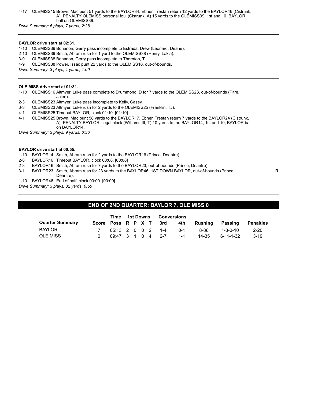4-17 OLEMISS15 Brown, Mac punt 51 yards to the BAYLOR34, Ebner, Trestan return 12 yards to the BAYLOR46 (Cistrunk, A), PENALTY OLEMISS personal foul (Cistrunk, A) 15 yards to the OLEMISS39, 1st and 10, BAYLOR ball on OLEMISS39.

*Drive Summary: 6 plays, 7 yards, 2:28*

#### **BAYLOR drive start at 02:31.**

- 1-10 OLEMISS39 Bohanon, Gerry pass incomplete to Estrada, Drew (Leonard, Deane).
- 2-10 OLEMISS39 Smith, Abram rush for 1 yard to the OLEMISS38 (Henry, Lakia).
- 3-9 OLEMISS38 Bohanon, Gerry pass incomplete to Thornton, T.
- 4-9 OLEMISS38 Power, Issac punt 22 yards to the OLEMISS16, out-of-bounds.

*Drive Summary: 3 plays, 1 yards, 1:00*

#### **OLE MISS drive start at 01:31.**

1-10 OLEMISS16 Altmyer, Luke pass complete to Drummond, D for 7 yards to the OLEMISS23, out-of-bounds (Pitre, Jalen).

- 2-3 OLEMISS23 Altmyer, Luke pass incomplete to Kelly, Casey.
- 3-3 OLEMISS23 Altmyer, Luke rush for 2 yards to the OLEMISS25 (Franklin, TJ).
- 4-1 OLEMISS25 Timeout BAYLOR, clock 01:10. [01:10]
- 4-1 OLEMISS25 Brown, Mac punt 58 yards to the BAYLOR17, Ebner, Trestan return 7 yards to the BAYLOR24 (Cistrunk, A), PENALTY BAYLOR illegal block (Williams III, T) 10 yards to the BAYLOR14, 1st and 10, BAYLOR ball on BAYLOR14.

*Drive Summary: 3 plays, 9 yards, 0:36*

#### **BAYLOR drive start at 00:55.**

- 1-10 BAYLOR14 Smith, Abram rush for 2 yards to the BAYLOR16 (Prince, Deantre).
- 2-8 BAYLOR16 Timeout BAYLOR, clock 00:08. [00:08]
- 2-8 BAYLOR16 Smith, Abram rush for 7 yards to the BAYLOR23, out-of-bounds (Prince, Deantre).
- 3-1 BAYLOR23 Smith, Abram rush for 23 yards to the BAYLOR46, 1ST DOWN BAYLOR, out-of-bounds (Prince, Deantre).
- 1-10 BAYLOR46 End of half, clock 00:00. [00:00]

*Drive Summary: 3 plays, 32 yards, 0:55*

## **END OF 2ND QUARTER: BAYLOR 7, OLE MISS 0**

|                        | Time 1st Downs       |  |  | Conversions            |       |             |           |                  |
|------------------------|----------------------|--|--|------------------------|-------|-------------|-----------|------------------|
| <b>Quarter Summary</b> |                      |  |  | Score Poss R P X T 3rd |       | 4th Rushing | Passing   | <b>Penalties</b> |
| <b>BAYLOR</b>          |                      |  |  | 05:13 2 0 0 2 1-4      | በ-1   | 8-86        | 1-3-0-10  | 2-20             |
| <b>OLE MISS</b>        | $0.9:47$ 3 1 0 4 2-7 |  |  |                        | - 1-1 | 14-35       | 6-11-1-32 | $3-19$           |

R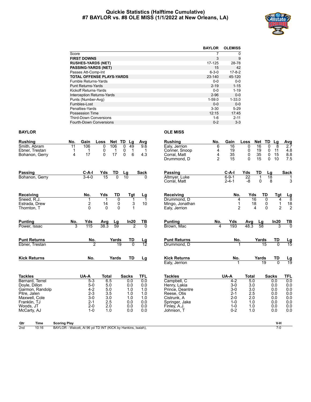#### **Quickie Statistics (Halftime Cumulative) #7 BAYLOR vs. #8 OLE MISS (1/1/2022 at New Orleans, LA)**



|                                   | <b>BAYLOR</b> | <b>OLEMISS</b> |
|-----------------------------------|---------------|----------------|
| Score                             | 7             | 0              |
| <b>FIRST DOWNS</b>                | 3             | 9              |
| <b>RUSHES-YARDS (NET)</b>         | 17-125        | 28-78          |
| <b>PASSING-YARDS (NET)</b>        | 15            | 42             |
| Passes Att-Comp-Int               | $6 - 3 - 0$   | $17 - 8 - 2$   |
| <b>TOTAL OFFENSE PLAYS-YARDS</b>  | $23 - 140$    | 45-120         |
| <b>Fumble Returns-Yards</b>       | $0 - 0$       | $0 - 0$        |
| <b>Punt Returns-Yards</b>         | $2 - 19$      | $1 - 15$       |
| Kickoff Returns-Yards             | $0 - 0$       | $1 - 19$       |
| <b>Interception Returns-Yards</b> | $2 - 96$      | $0-0$          |
| Punts (Number-Avg)                | $1 - 59.0$    | $1 - 33.0$     |
| Fumbles-Lost                      | $0 - 0$       | $0-0$          |
| Penalties-Yards                   | $3 - 30$      | $5 - 29$       |
| Possession Time                   | 12:15         | 17:45          |
| <b>Third-Down Conversions</b>     | 1-6           | $2 - 11$       |
| <b>Fourth-Down Conversions</b>    | $0 - 2$       | $3 - 3$        |

## **BAYLOR OLE MISS**

| <b>Rushing</b>                   | No.                 | Gain                         | Loss           | Net TD                                                         | Lg              | Avg                    | <b>Rushing</b>                  | No.                 | Gain                       | Loss            | Net                     | TD<br>Lg                             | <b>Avg</b>                                       |
|----------------------------------|---------------------|------------------------------|----------------|----------------------------------------------------------------|-----------------|------------------------|---------------------------------|---------------------|----------------------------|-----------------|-------------------------|--------------------------------------|--------------------------------------------------|
| Smith, Abram                     | 11                  | 106                          | $\Omega$       | 106<br>$\Omega$                                                | 49              | 9.6                    | Ealy, Jerrion                   | 6                   | $\overline{16}$            | $\mathbf{0}$    | 16                      | 8<br>$\Omega$                        | $\overline{2.7}$                                 |
| Ebner, Trestan                   | 1                   | 1                            | 0              | $\begin{smallmatrix} 0 \\ 0 \end{smallmatrix}$<br>$\mathbf{1}$ | $\mathbf 1$     | $\mathbf 1$            | Conner, Snoop                   | 4                   | 19                         | 0               | 19                      | 11<br>0                              |                                                  |
| Bohanon, Gerry                   | 4                   | 17                           | $\Omega$       | 17                                                             | 6               | 43                     | Corral, Matt<br>Drummond, D     | 4<br>$\overline{2}$ | 35<br>15                   | 0<br>$\Omega$   | 35<br>15                | 15<br>0<br>$\mathbf{0}$<br>10        | $\begin{array}{c} 4.8 \\ 8.8 \\ 7.5 \end{array}$ |
|                                  |                     |                              |                |                                                                |                 |                        |                                 |                     |                            |                 |                         |                                      |                                                  |
| Passing                          |                     | C-A-I                        | Yds            | TD                                                             | Lg              | Sack                   | Passing                         |                     | $C-A-I$                    | Yds             | TD                      | Lg                                   | <b>Sack</b>                                      |
| Bohanon, Gerry                   |                     | $3 - 4 - 0$                  | 15             | $\overline{0}$                                                 | $\overline{10}$ | $\Omega$               | Altmyer, Luke<br>Corral, Matt   |                     | $6 - 9 - 1$<br>$2 - 4 - 1$ | 22<br>-8        | 0                       | $\overline{18}$<br>8                 | -1<br>3                                          |
| Receiving                        |                     | No.                          | Yds            | TD                                                             | Tgt             | <u>Lg</u>              | Receiving                       |                     | No.                        | Yds             |                         | TD                                   | Tgt                                              |
| Sneed, R.J.                      |                     |                              | 1              | 0                                                              | 1               | $\mathbf{1}$           | Drummond, D                     |                     | $\overline{4}$             | $\overline{16}$ |                         | $\mathbf 0$                          | $\frac{\mathsf{L}\mathsf{g}}{8}$<br>4            |
| Estrada, Drew                    |                     | $\boldsymbol{2}$<br>$\Omega$ | 14<br>$\Omega$ | 0<br>$\Omega$                                                  | 3               | 10                     | Mingo, Jonathan                 |                     | 1                          | 18              | $\overline{\mathbf{4}}$ | $\begin{matrix} 0 \\ 0 \end{matrix}$ | $\frac{18}{2}$<br>$\mathbf{1}$<br>$\overline{2}$ |
| Thornton, T                      |                     |                              |                |                                                                |                 |                        | Ealy, Jerrion                   |                     | $\overline{2}$             |                 |                         |                                      |                                                  |
| <b>Punting</b>                   | No.                 | Yds                          | Avg            | Lg                                                             | In20            | TВ                     | <b>Punting</b>                  | No.                 | Yds                        | Avg             | Lg                      | In20                                 | <u>TB</u>                                        |
| Power, Issac                     | 3                   | $\overline{115}$             | 38.3           | 59                                                             |                 | $\Omega$               | Brown, Mac                      | 4                   | 193                        | 48.3            | 58                      |                                      | $\overline{0}$<br>3                              |
| <b>Punt Returns</b>              |                     | No.                          |                | Yards                                                          | TD              | $\frac{\text{Lg}}{12}$ | <b>Punt Returns</b>             |                     | No.                        |                 | Yards                   | TD                                   | $\frac{\text{Lg}}{15}$                           |
| Ebner, Trestan                   |                     | $\overline{2}$               |                | 19                                                             | $\overline{0}$  |                        | Drummond, D                     |                     |                            |                 | 15                      |                                      | $\overline{0}$                                   |
| <b>Kick Returns</b>              |                     | No.                          |                | Yards                                                          | TD              | Lg                     | <b>Kick Returns</b>             |                     | No.                        |                 | Yards                   | TD                                   | <u>Lg</u><br>19                                  |
|                                  |                     |                              |                |                                                                |                 |                        | Ealy, Jerrion                   |                     | 1                          |                 | 19                      | $\overline{0}$                       |                                                  |
| <b>Tackles</b>                   |                     | UA-A                         | <b>Total</b>   |                                                                | <b>Sacks</b>    | <b>TFL</b>             | <b>Tackles</b>                  |                     | UA-A                       | <b>Total</b>    |                         | <b>Sacks</b>                         | TFL,                                             |
| Bernard, Terrel                  |                     | $5 - 3$                      | 6.5            |                                                                | 0.0             | 0.0                    | Campbell, C                     |                     | $4-2$                      | 5.0             |                         | 0.0                                  | 0.0                                              |
| Doyle, Dillon<br>Garmon, Randolp |                     | $5-0$<br>$4 - 2$             | 5.0<br>5.0     |                                                                | 0.0<br>1.0      | 0.0<br>1.0             | Henry, Lakia<br>Prince, Deantre |                     | $3-0$<br>$3-0$             | 3.0<br>3.0      |                         | 0.0<br>0.0                           | 0.0<br>0.0                                       |
| Pitre, Jalen                     |                     | $2 - 3$                      | 3.5            |                                                                | 1.0             | 1.0                    | Reese, Otis                     |                     | $2 - 1$                    | 2.5             |                         | 0.0                                  | 0.0                                              |
| Maxwell, Cole                    |                     | $3-0$                        | 3.0            |                                                                | 1.0             | 1.0                    | Cistrunk, A                     |                     | $2 - 0$                    | 2.0             |                         | 0.0                                  | 0.0                                              |
| Franklin, TJ                     |                     | $2 - 1$                      | 2.5            |                                                                | 0.0             | 0.0                    | Springer, Jake                  |                     | $1 - 0$                    | 1.0             |                         | 0.0                                  | 0.0                                              |
| Woods, JT                        |                     | $2 - 0$<br>$1 - 0$           | 2.0<br>1.0     |                                                                | 0.0<br>0.0      | 0.0<br>0.0             | Finley, A.J.                    |                     | $1 - 0$<br>$0 - 2$         | 1.0<br>1.0      |                         | 0.0<br>0.0                           | 0.0<br>0.0                                       |
| McCarty, AJ                      |                     |                              |                |                                                                |                 |                        | Johnson, T                      |                     |                            |                 |                         |                                      |                                                  |
| Qtr<br>Time                      | <b>Scoring Play</b> |                              |                |                                                                |                 |                        |                                 |                     |                            |                 |                         |                                      | V-H                                              |

2nd 10:16 BAYLOR - Walcott, AI 96 yd TD INT (KICK by Hankins, Isaiah), 7-0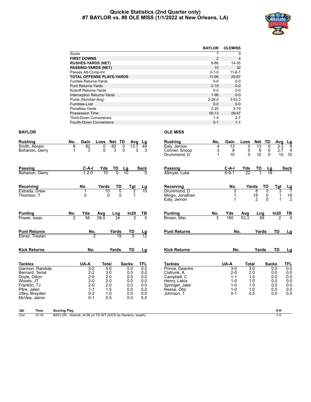#### **Quickie Statistics (2nd Quarter only) #7 BAYLOR vs. #8 OLE MISS (1/1/2022 at New Orleans, LA)**



|                                   | <b>BAYLOR</b> | <b>OLEMISS</b> |
|-----------------------------------|---------------|----------------|
| Score                             |               | 0              |
| <b>FIRST DOWNS</b>                | 2             | 4              |
| <b>RUSHES-YARDS (NET)</b>         | $8 - 86$      | 14-35          |
| <b>PASSING-YARDS (NET)</b>        | 10            | 32             |
| Passes Att-Comp-Int               | $3 - 1 - 0$   | $11 - 6 - 1$   |
| <b>TOTAL OFFENSE PLAYS-YARDS</b>  | $11 - 96$     | 25-67          |
| Fumble Returns-Yards              | $0 - 0$       | $0-0$          |
| <b>Punt Returns-Yards</b>         | $2 - 19$      | $0-0$          |
| Kickoff Returns-Yards             | $0 - 0$       | $0 - 0$        |
| <b>Interception Returns-Yards</b> | $1 - 96$      | $0 - 0$        |
| Punts (Number-Avg)                | $2 - 28.0$    | $3 - 53.3$     |
| Fumbles-Lost                      | $0 - 0$       | $0 - 0$        |
| Penalties-Yards                   | $2 - 20$      | $3 - 19$       |
| Possession Time                   | 05:13         | 09:47          |
| <b>Third-Down Conversions</b>     | $1 - 4$       | $2 - 7$        |
| Fourth-Down Conversions           | $0 - 1$       | $1 - 1$        |

## **BAYLOR OLE MISS**

| No.                   | Gain                       | Loss          |                                                                                   |                                                                                                          | Lg                                                          | <b>Rushing</b>                                                                                                                 | No.                    | Gain                                                                    | Loss                      |                            | <b>TD</b>                                                                           | Avg                                                    |                                                                           |
|-----------------------|----------------------------|---------------|-----------------------------------------------------------------------------------|----------------------------------------------------------------------------------------------------------|-------------------------------------------------------------|--------------------------------------------------------------------------------------------------------------------------------|------------------------|-------------------------------------------------------------------------|---------------------------|----------------------------|-------------------------------------------------------------------------------------|--------------------------------------------------------|---------------------------------------------------------------------------|
| 6<br>1                | $\overline{82}$<br>3       | 0<br>$\Omega$ | 82<br>3                                                                           |                                                                                                          | 49<br>3                                                     | Ealy, Jerrion<br>Conner, Snoop<br>Drummond. D                                                                                  | 4<br>3<br>$\mathbf{1}$ | $\overline{13}$<br>8<br>10                                              | $\Omega$<br>0<br>$\Omega$ | $\overline{13}$<br>8<br>10 | 0<br>0<br>$\Omega$                                                                  | 3.3<br>2.7<br>10                                       | $\frac{Lg}{8}$<br>$\overline{4}$<br>10                                    |
|                       | C-A-I<br>$1 - 2 - 0$       | Yds<br>10     | TD<br>$\overline{0}$                                                              | $\frac{\text{Lg}}{10}$                                                                                   | <sup>n</sup>                                                | Passing<br>Altmyer, Luke                                                                                                       |                        | $C-A-I$<br>$6 - 9 - 1$                                                  | Yds<br>$\overline{22}$    |                            |                                                                                     |                                                        | Sack                                                                      |
|                       | No.<br>1<br>$\Omega$       |               | TD<br>$\overline{0}$                                                              |                                                                                                          | $\frac{\text{Lg}}{10}$                                      | Receiving<br>Drummond, D<br>Mingo, Jonathan<br>Ealy, Jerrion                                                                   |                        | No.<br>3                                                                |                           | 8<br>18<br>$\overline{2}$  | TD<br>0<br>$\pmb{0}$<br>$\Omega$                                                    | Tgt<br>3                                               | $\frac{Lg}{7}$<br>$\begin{array}{c} 18 \\ 2 \end{array}$                  |
| No.<br>$\overline{2}$ | Yds<br>56                  | Avg<br>28.0   | Lng<br>34                                                                         | 2                                                                                                        | <u>ТВ</u><br>$\overline{0}$                                 | <b>Punting</b><br>Brown, Mac                                                                                                   | No.<br>3               | Yds<br>160                                                              | Avg<br>53.3               |                            |                                                                                     | In20<br>7                                              | <u>ТВ</u><br>ក                                                            |
|                       |                            |               | Yards<br>19                                                                       | TD<br>$\overline{0}$                                                                                     | $\frac{\text{Lg}}{12}$                                      | <b>Punt Returns</b>                                                                                                            |                        |                                                                         |                           |                            |                                                                                     | TD                                                     | Lg                                                                        |
|                       |                            |               |                                                                                   | TD                                                                                                       | Lg                                                          | <b>Kick Returns</b>                                                                                                            |                        |                                                                         |                           |                            |                                                                                     | <b>TD</b>                                              | Lg                                                                        |
|                       | UA-A<br>$1 - 1$<br>$0 - 1$ |               |                                                                                   | 0.0<br>0.0<br>0.0<br>0.0<br>0.0<br>0.0<br>0.0<br>0.0                                                     | TFL<br>0.0<br>0.0<br>0.0<br>0.0<br>0.0<br>0.0<br>0.0<br>0.0 | <b>Tackles</b><br>Prince, Deantre<br>Cistrunk. A<br>Campbell, C<br>Henry, Lakia<br>Springer, Jake<br>Reese, Otis<br>Johnson, T |                        | $3-0$<br>$2 - 0$<br>$1 - 1$<br>$1 - 0$<br>$1 - 0$<br>$1 - 0$<br>$0 - 1$ |                           |                            |                                                                                     |                                                        | TFL<br>0.0<br>0.0<br>0.0<br>0.0<br>0.0<br>0.0<br>0.0                      |
|                       |                            |               | No.<br>2<br>No.<br>$3 - 2$<br>$2 - 2$<br>$2 - 0$<br>$2 - 0$<br>$2 - 0$<br>$0 - 2$ | Net<br>Yards<br>10<br>$\Omega$<br>Yards<br>Total<br>4.0<br>3.0<br>2.0<br>2.0<br>2.0<br>1.5<br>1.0<br>0.5 | TD<br>$\overline{0}$<br>$\Omega$<br><b>Sacks</b>            | Avg<br>13.7<br>3<br>$rac{\text{Tgt}}{2}$<br>1<br>In20                                                                          | Sack                   |                                                                         | UA-A                      | No.<br>No.                 | Yards<br><b>Total</b><br>$\overline{3.0}$<br>2.0<br>1.5<br>1.0<br>1.0<br>1.0<br>0.5 | Net<br>TD<br>$\frac{\text{Lng}}{58}$<br>Yards<br>Yards | Lg<br>18<br><b>Sacks</b><br>0.0<br>0.0<br>0.0<br>0.0<br>0.0<br>0.0<br>0.0 |

**Qtr Time Scoring Play V-H**

2nd 10:16 BAYLOR - Walcott, Al 96 yd TD INT (KICK by Hankins, Isaiah), 7-0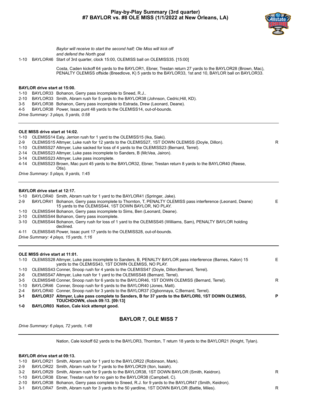## **Play-by-Play Summary (3rd quarter) #7 BAYLOR vs. #8 OLE MISS (1/1/2022 at New Orleans, LA)**



*Baylor will receive to start the second half; Ole Miss will kick off and defend the North goal*

1-10 BAYLOR46 Start of 3rd quarter, clock 15:00, OLEMISS ball on OLEMISS35. [15:00]

Costa, Caden kickoff 64 yards to the BAYLOR1, Ebner, Trestan return 27 yards to the BAYLOR28 (Brown, Mac), PENALTY OLEMISS offside (Breedlove, K) 5 yards to the BAYLOR33, 1st and 10, BAYLOR ball on BAYLOR33.

#### **BAYLOR drive start at 15:00.**

1-10 BAYLOR33 Bohanon, Gerry pass incomplete to Sneed, R.J..

- 2-10 BAYLOR33 Smith, Abram rush for 5 yards to the BAYLOR38 (Johnson, Cedric;Hill, KD).
- 3-5 BAYLOR38 Bohanon, Gerry pass incomplete to Estrada, Drew (Leonard, Deane).
- 4-5 BAYLOR38 Power, Issac punt 48 yards to the OLEMISS14, out-of-bounds.

*Drive Summary: 3 plays, 5 yards, 0:58*

#### **OLE MISS drive start at 14:02.**

1-10 OLEMISS14 Ealy, Jerrion rush for 1 yard to the OLEMISS15 (Ika, Siaki).

- 2-9 OLEMISS15 Altmyer, Luke rush for 12 yards to the OLEMISS27, 1ST DOWN OLEMISS (Doyle, Dillon). R
- 1-10 OLEMISS27 Altmyer, Luke sacked for loss of 4 yards to the OLEMISS23 (Bernard, Terrel).
- 2-14 OLEMISS23 Altmyer, Luke pass incomplete to Sanders, B (McVea, Jairon).
- 3-14 OLEMISS23 Altmyer, Luke pass incomplete.
- 4-14 OLEMISS23 Brown, Mac punt 45 yards to the BAYLOR32, Ebner, Trestan return 8 yards to the BAYLOR40 (Reese, Otis).

*Drive Summary: 5 plays, 9 yards, 1:45*

#### **BAYLOR drive start at 12:17.**

- 1-10 BAYLOR40 Smith, Abram rush for 1 yard to the BAYLOR41 (Springer, Jake).
- 2-9 BAYLOR41 Bohanon, Gerry pass incomplete to Thornton, T, PENALTY OLEMISS pass interference (Leonard, Deane) 15 yards to the OLEMISS44, 1ST DOWN BAYLOR, NO PLAY. E
- 1-10 OLEMISS44 Bohanon, Gerry pass incomplete to Sims, Ben (Leonard, Deane).
- 2-10 OLEMISS44 Bohanon, Gerry pass incomplete.
- 3-10 OLEMISS44 Bohanon, Gerry rush for loss of 1 yard to the OLEMISS45 (Williams, Sam), PENALTY BAYLOR holding declined.
- 4-11 OLEMISS45 Power, Issac punt 17 yards to the OLEMISS28, out-of-bounds.
- *Drive Summary: 4 plays, 15 yards, 1:16*

#### **OLE MISS drive start at 11:01.**

|         | 1-10 OLEMISS28 Altmyer, Luke pass incomplete to Sanders, B, PENALTY BAYLOR pass interference (Barnes, Kalon) 15 | E. |
|---------|-----------------------------------------------------------------------------------------------------------------|----|
|         | yards to the OLEMISS43, 1ST DOWN OLEMISS, NO PLAY.                                                              |    |
| 1-10    | OLEMISS43 Conner, Snoop rush for 4 yards to the OLEMISS47 (Doyle, Dillon; Bernard, Terrel).                     |    |
| 2-6     | OLEMISS47 Altmyer, Luke rush for 1 yard to the OLEMISS48 (Bernard, Terrel).                                     |    |
| 3-5     | OLEMISS48 Conner, Snoop rush for 6 yards to the BAYLOR46, 1ST DOWN OLEMISS (Bernard, Terrel).                   | R  |
|         | 1-10 BAYLOR46 Conner, Snoop rush for 6 yards to the BAYLOR40 (Jones, Matt).                                     |    |
| $2 - 4$ | BAYLOR40 Conner, Snoop rush for 3 yards to the BAYLOR37 (Oqbonnaya, C:Bernard, Terrel).                         |    |
| 3-1     | BAYLOR37 Altmyer, Luke pass complete to Sanders, B for 37 yards to the BAYLOR0, 1ST DOWN OLEMISS,               | P  |
|         | <b>TOUCHDOWN. clock 09:13. [09:13]</b>                                                                          |    |
|         |                                                                                                                 |    |

**1-0 BAYLOR03 Nation, Cale kick attempt good.**

#### **BAYLOR 7, OLE MISS 7**

*Drive Summary: 6 plays, 72 yards, 1:48*

Nation, Cale kickoff 62 yards to the BAYLOR3, Thornton, T return 18 yards to the BAYLOR21 (Knight, Tylan).

#### **BAYLOR drive start at 09:13.**

1-10 BAYLOR21 Smith, Abram rush for 1 yard to the BAYLOR22 (Robinson, Mark).

2-9 BAYLOR22 Smith, Abram rush for 7 yards to the BAYLOR29 (Iton, Isaiah).

3-2 BAYLOR29 Smith, Abram rush for 9 yards to the BAYLOR38, 1ST DOWN BAYLOR (Smith, Keidron). R

- 1-10 BAYLOR38 Ebner, Trestan rush for no gain to the BAYLOR38 (Campbell, C).
- 2-10 BAYLOR38 Bohanon, Gerry pass complete to Sneed, R.J. for 9 yards to the BAYLOR47 (Smith, Keidron).
- 3-1 BAYLOR47 Smith, Abram rush for 3 yards to the 50 yardline, 1ST DOWN BAYLOR (Battle, Miles). R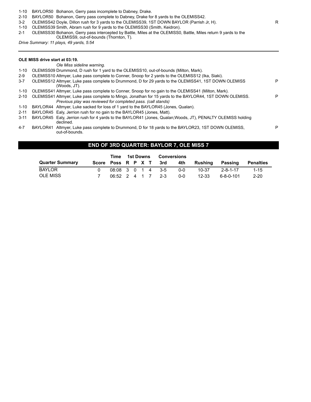- 1-10 BAYLOR50 Bohanon, Gerry pass incomplete to Dabney, Drake.
- 2-10 BAYLOR50 Bohanon, Gerry pass complete to Dabney, Drake for 8 yards to the OLEMISS42.
- 3-2 OLEMISS42 Doyle, Dillon rush for 3 yards to the OLEMISS39, 1ST DOWN BAYLOR (Parrish Jr, H).
- 1-10 OLEMISS39 Smith, Abram rush for 9 yards to the OLEMISS30 (Smith, Keidron).
- 2-1 OLEMISS30 Bohanon, Gerry pass intercepted by Battle, Miles at the OLEMISS0, Battle, Miles return 9 yards to the OLEMISS9, out-of-bounds (Thornton, T).

*Drive Summary: 11 plays, 49 yards, 5:54*

#### **OLE MISS drive start at 03:19.**

#### *Ole Miss sideline warning.*

- 1-10 OLEMISS09 Drummond, D rush for 1 yard to the OLEMISS10, out-of-bounds (Milton, Mark).
- 2-9 OLEMISS10 Altmyer, Luke pass complete to Conner, Snoop for 2 yards to the OLEMISS12 (Ika, Siaki).
- 3-7 OLEMISS12 Altmyer, Luke pass complete to Drummond, D for 29 yards to the OLEMISS41, 1ST DOWN OLEMISS (Woods, JT). P 1-10 OLEMISS41 Altmyer, Luke pass complete to Conner, Snoop for no gain to the OLEMISS41 (Milton, Mark). 2-10 OLEMISS41 Altmyer, Luke pass complete to Mingo, Jonathan for 15 yards to the BAYLOR44, 1ST DOWN OLEMISS. P *Previous play was reviewed for completed pass. (call stands)*
- 1-10 BAYLOR44 Altmyer, Luke sacked for loss of 1 yard to the BAYLOR45 (Jones, Qualan).
- 2-11 BAYLOR45 Ealy, Jerrion rush for no gain to the BAYLOR45 (Jones, Matt).
- 3-11 BAYLOR45 Ealy, Jerrion rush for 4 yards to the BAYLOR41 (Jones, Qualan;Woods, JT), PENALTY OLEMISS holding declined.
- 4-7 BAYLOR41 Altmyer, Luke pass complete to Drummond, D for 18 yards to the BAYLOR23, 1ST DOWN OLEMISS, out-of-bounds.

## **END OF 3RD QUARTER: BAYLOR 7, OLE MISS 7**

|                        | Time              |  | 1st Downs | Conversions            |     |         |             |           |
|------------------------|-------------------|--|-----------|------------------------|-----|---------|-------------|-----------|
| <b>Quarter Summary</b> |                   |  |           | Score Poss R P X T 3rd | 4th | Rushina | Passing     | Penalties |
| BAYLOR                 |                   |  |           | 08:08 3 0 1 4 3-5      | റ-റ | 10-37   | 2-8-1-17    | $1 - 15$  |
| OLE MISS               | 06:52 2 4 1 7 2-3 |  |           |                        | ი-ი | 12-33   | ٬ 6-8-0-101 | $2 - 20$  |

P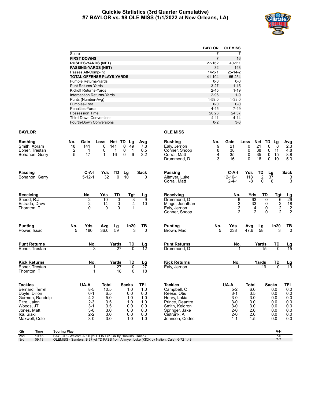#### **Quickie Statistics (3rd Quarter Cumulative) #7 BAYLOR vs. #8 OLE MISS (1/1/2022 at New Orleans, LA)**



|                                   | <b>BAYLOR</b> | <b>OLEMISS</b> |
|-----------------------------------|---------------|----------------|
| Score                             | 7             | 7              |
| <b>FIRST DOWNS</b>                | 7             | 16             |
| <b>RUSHES-YARDS (NET)</b>         | 27-162        | 40-111         |
| <b>PASSING-YARDS (NET)</b>        | 32            | 143            |
| Passes Att-Comp-Int               | $14 - 5 - 1$  | $25 - 14 - 2$  |
| <b>TOTAL OFFENSE PLAYS-YARDS</b>  | 41-194        | 65-254         |
| Fumble Returns-Yards              | $0 - 0$       | $0-0$          |
| <b>Punt Returns-Yards</b>         | $3 - 27$      | $1 - 15$       |
| Kickoff Returns-Yards             | $2 - 45$      | $1 - 19$       |
| <b>Interception Returns-Yards</b> | $2 - 96$      | $1 - 9$        |
| Punts (Number-Avg)                | $1 - 59.0$    | $1 - 33.0$     |
| Fumbles-Lost                      | $0 - 0$       | $0-0$          |
| Penalties-Yards                   | $4 - 45$      | $7-49$         |
| Possession Time                   | 20:23         | 24:37          |
| <b>Third-Down Conversions</b>     | 4-11          | $4 - 14$       |
| <b>Fourth-Down Conversions</b>    | $0 - 2$       | $3 - 3$        |

#### **BAYLOR OLE MISS**

| <b>Rushing</b>                                           | No.                 | Gain                      | Loss                                   | Net TD<br>Lg                                                                      | Avg                      | <b>Rushing</b>                                               | No.              | Gain                         | Loss                                                     | Net                        | TD<br>Lg                                                               | <b>Avg</b>                                          |
|----------------------------------------------------------|---------------------|---------------------------|----------------------------------------|-----------------------------------------------------------------------------------|--------------------------|--------------------------------------------------------------|------------------|------------------------------|----------------------------------------------------------|----------------------------|------------------------------------------------------------------------|-----------------------------------------------------|
| Smith, Abram<br>Ebner, Trestan<br>Bohanon, Gerry         | 18<br>$\frac{2}{5}$ | 141<br>1<br>17            | $\mathbf{0}$<br>141<br>0<br>16<br>$-1$ | 49<br>0<br>0<br>$\mathbf{1}$<br>$\begin{array}{c} 1 \\ 6 \end{array}$<br>$\Omega$ | 7.8<br>$\frac{0.5}{3.2}$ | Ealy, Jerrion<br>Conner, Snoop<br>Corral. Matt               | 9<br>8<br>4<br>3 | 21<br>38<br>35<br>16         | 0<br>0<br>$\mathbf 0$<br>$\Omega$                        | 21<br>38<br>35<br>16       | 8<br>0<br>0<br>11<br>15<br>$\mathbf 0$<br>$\mathbf{0}$<br>10           | 2.3<br>4.8<br>8.8<br>5.3                            |
| <b>Passing</b>                                           |                     | $C-A-I$                   | Yds                                    | TD<br>Lg                                                                          | <b>Sack</b>              | Drummond, D<br>Passing                                       |                  | $C-A-I$                      | Yds                                                      | TD                         | Lg                                                                     | <b>Sack</b>                                         |
| Bohanon, Gerry                                           |                     | $5 - 12 - 1$              | 32                                     | $\Omega$<br>10                                                                    | U                        | Altmyer, Luke<br>Corral, Matt                                |                  | $12 - 16 - 1$<br>$2 - 4 - 1$ | 118<br>$-8$                                              | $\overline{2}$<br>$\Omega$ | 37<br>8                                                                | 3<br>3                                              |
| Receiving<br>Sneed, R.J.<br>Estrada, Drew<br>Thornton, T |                     | No.<br>2<br>$\frac{2}{0}$ | Yds<br>10<br>14<br>$\Omega$            | TD<br>Tgt<br>3<br>$\mathbf{0}$<br>0<br>4<br>$\Omega$                              | <u>Lg</u><br>9<br>10     | Receiving<br>Drummond. D<br>Mingo, Jonathan<br>Ealy, Jerrion |                  | No.<br>622                   | Yds<br>63<br>$\begin{array}{c} 33 \\ 4 \\ 2 \end{array}$ | TD<br>$\overline{0}$       | <b>Tgt</b><br>$\overline{6}$<br>$\frac{2}{2}$<br>$\bar{0}$<br>$\Omega$ | $\frac{Lg}{29}$<br>$\frac{18}{2}$<br>$\overline{2}$ |
| <b>Punting</b><br>Power, Issac                           | No.<br>5            | Yds<br>180                | Avg<br>36.0                            | In20<br>Lg<br>59<br>3                                                             | TВ<br>$\Omega$           | Conner, Snoop<br><b>Punting</b><br>Brown, Mac                | No.<br>5         | Yds<br>238                   | Avg<br>47.6                                              | Lg<br>58                   | In20<br>3                                                              | <u>тв</u><br>$\overline{0}$                         |
| <b>Punt Returns</b><br>Ebner, Trestan                    |                     | No.<br>3                  |                                        | Yards<br>TD<br>27<br>$\overline{0}$                                               | $\frac{\text{Lg}}{12}$   | <b>Punt Returns</b><br>Drummond, D                           |                  | No.<br>1                     |                                                          | Yards<br>$\overline{15}$   | TD<br>$\overline{0}$                                                   | $\frac{\text{Lg}}{15}$                              |
| <b>Kick Returns</b><br>Ebner, Trestan                    |                     | No.<br>1                  |                                        | TD<br>Yards<br>$\overline{27}$<br>0                                               | Lg<br>$\overline{27}$    | <b>Kick Returns</b><br>Ealy, Jerrion                         |                  | No.                          |                                                          | Yards<br>$\overline{19}$   | TD<br>$\Omega$                                                         | $\frac{\text{Lg}}{19}$                              |
| Thornton, T                                              |                     | $\mathbf{1}$              |                                        | 18<br>$\mathbf{0}$                                                                | 18                       |                                                              |                  |                              |                                                          |                            |                                                                        |                                                     |
| <b>Tackles</b>                                           |                     | UA-A                      | <b>Total</b>                           | <b>Sacks</b>                                                                      | <b>TFL</b>               | <b>Tackles</b>                                               |                  | UA-A                         | <b>Total</b>                                             |                            | <b>Sacks</b>                                                           | <b>TFL</b>                                          |
| Bernard, Terrel<br>Doyle, Dillon                         |                     | $8 - 5$<br>$6 - 1$        | 10.5<br>6.5                            | 1.0<br>0.0                                                                        | $\overline{1.0}$<br>0.0  | Campbell, C<br>Reese, Otis                                   |                  | $5 - 2$<br>$3 - 1$           | 6.0<br>3.5                                               |                            | 0.0<br>0.0                                                             | 0.0<br>0.0                                          |
| Garmon, Randolp                                          |                     | $4 - 2$                   | 5.0                                    | 1.0                                                                               | 1.0                      | Henry, Lakia                                                 |                  | $3-0$                        | 3.0                                                      |                            | 0.0                                                                    | $0.0\,$                                             |
| Pitre, Jalen                                             |                     | $2 - 3$                   | 3.5                                    | 1.0                                                                               | 1.0                      | Prince, Deantre                                              |                  | $3-0$                        | 3.0                                                      |                            | 0.0                                                                    | 0.0                                                 |
| Woods, JT<br>Jones, Matt                                 |                     | $3 - 1$<br>$3-0$          | 3.5<br>3.0                             | 0.0<br>0.0                                                                        | 0.0<br>0.0               | Smith, Keidron<br>Springer, Jake                             |                  | $3-0$<br>$2 - 0$             | 3.0<br>2.0                                               |                            | 0.0<br>0.0                                                             | 0.0<br>0.0                                          |
| Ika. Siaki<br>Maxwell, Cole                              |                     | $2 - 2$<br>$3-0$          | 3.0<br>3.0                             | 0.0<br>1.0                                                                        | 0.0<br>1.0               | Cistrunk. A<br>Johnson, Cedric                               |                  | $2 - 0$<br>$1 - 1$           | 2.0<br>1.5                                               |                            | 0.0<br>0.0                                                             | 0.0<br>0.0                                          |
| Qtr<br>Time                                              | <b>Scoring Play</b> |                           |                                        |                                                                                   |                          |                                                              |                  |                              |                                                          |                            | V-H                                                                    |                                                     |

2nd 10:16 BAYLOR - Walcott, Al 96 yd TD INT (KICK by Hankins, Isaiah),<br>3rd 09:13 OLEMISS - Sanders, B 37 yd TD PASS from Altmyer, Luke (KICK by Nation, Cale), 6-72 1:48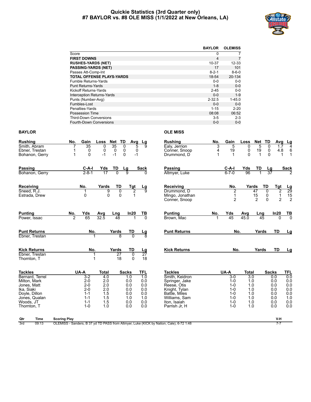#### **Quickie Statistics (3rd Quarter only) #7 BAYLOR vs. #8 OLE MISS (1/1/2022 at New Orleans, LA)**



|                                   | <b>BAYLOR</b> | <b>OLEMISS</b> |
|-----------------------------------|---------------|----------------|
| Score                             | 0             | 7              |
| <b>FIRST DOWNS</b>                | 4             | $\overline{7}$ |
| <b>RUSHES-YARDS (NET)</b>         | 10-37         | $12 - 33$      |
| <b>PASSING-YARDS (NET)</b>        | 17            | 101            |
| Passes Att-Comp-Int               | $8 - 2 - 1$   | $8 - 6 - 0$    |
| <b>TOTAL OFFENSE PLAYS-YARDS</b>  | 18-54         | 20-134         |
| Fumble Returns-Yards              | $0 - 0$       | $0-0$          |
| <b>Punt Returns-Yards</b>         | $1 - 8$       | $0 - 0$        |
| Kickoff Returns-Yards             | $2 - 45$      | $0 - 0$        |
| <b>Interception Returns-Yards</b> | $0 - 0$       | $1 - 9$        |
| Punts (Number-Avg)                | $2 - 32.5$    | $1 - 45.0$     |
| Fumbles-Lost                      | $0 - 0$       | $0-0$          |
| Penalties-Yards                   | $1 - 15$      | $2 - 20$       |
| Possession Time                   | 08:08         | 06:52          |
| <b>Third-Down Conversions</b>     | $3 - 5$       | $2 - 3$        |
| Fourth-Down Conversions           | $0 - 0$       | $0 - 0$        |

## **BAYLOR OLE MISS**

| <b>Rushing</b>            |                | No.                 | Gain               | Loss           | TD<br>Net        | Avg            | Lg                               | <b>Rushing</b>                                                                          | No. | Gain               | Loss       | Net TD         |                 | Avg            | Lg              |
|---------------------------|----------------|---------------------|--------------------|----------------|------------------|----------------|----------------------------------|-----------------------------------------------------------------------------------------|-----|--------------------|------------|----------------|-----------------|----------------|-----------------|
| Smith, Abram              |                |                     | 35                 | $\overline{0}$ | 35<br>0          | 5              |                                  | Ealy, Jerrion                                                                           | 3   | 5                  | 0          | 5              | 0               | 1.7            | 4               |
| Ebner, Trestan            |                |                     | 0                  | 0              | 0<br>0           | 0              |                                  | Conner, Snoop                                                                           | 4   | 19                 | 0          | 19             | 0               | 4.8            | 6               |
|                           | Bohanon, Gerry | 1                   | $\mathbf{0}$       | $-1$           | $-1$<br>$\Omega$ | $-1$           |                                  | Drummond. D                                                                             |     | 1                  | $\Omega$   | 1              | $\Omega$        | 1              | 1               |
| <b>Passing</b>            |                |                     | $C-A-I$            | Yds            | TD               | Lg             | <b>Sack</b>                      | Passing                                                                                 |     | $C-A-I$            | Yds        | TD             | <u>Lg</u>       |                | Sack            |
|                           | Bohanon, Gerry |                     | $2 - 8 - 1$        | 17             | $\overline{0}$   | $\overline{9}$ |                                  | Altmyer, Luke                                                                           |     | $6 - 7 - 0$        | 96         | 1              | $\overline{37}$ |                |                 |
| Receiving                 |                |                     | No.                | Yards          | TD               | Tgt            | $\frac{Lg}{9}$                   | Receiving                                                                               |     | No.                |            | Yards          | TD              | Tgt            |                 |
| Sneed, R.J.               |                |                     | 1                  | 9              | $\overline{0}$   | 2              |                                  | Drummond. D                                                                             |     | $\overline{2}$     |            | 47             | $\Omega$        | $\overline{2}$ | $\frac{Lg}{29}$ |
| Estrada, Drew             |                |                     | $\mathbf{0}$       | $\Omega$       | $\Omega$         | 1              |                                  | Mingo, Jonathan                                                                         |     | 1                  |            | 15             | 0               | $\mathbf{1}$   | $\frac{15}{2}$  |
|                           |                |                     |                    |                |                  |                |                                  | Conner, Snoop                                                                           |     | $\overline{2}$     |            | $\overline{c}$ | $\mathbf 0$     | $\overline{2}$ |                 |
| <b>Punting</b>            |                | No.                 | Yds                | Avg            | Lng              | In20           | TВ                               | <b>Punting</b>                                                                          | No. | Yds                | Avg        | Lng            |                 | In20           | 풍               |
| Power, Issac              |                | $\overline{2}$      | 65                 | 32.5           | 48               |                | 70                               | Brown, Mac                                                                              | 1   | 45                 | 45.0       | 45             |                 | $\Omega$       |                 |
| <b>Punt Returns</b>       |                |                     | No.                |                | Yards            | TD             | $\frac{\mathsf{L}\mathsf{g}}{8}$ | <b>Punt Returns</b>                                                                     |     | No.                |            | Yards          |                 | <b>TD</b>      | Lg              |
| Ebner, Trestan            |                |                     |                    | 1              | R                | n              |                                  |                                                                                         |     |                    |            |                |                 |                |                 |
| <b>Kick Returns</b>       |                |                     | No.                |                | Yards            | <b>TD</b>      |                                  | <b>Kick Returns</b>                                                                     |     | No.                |            | Yards          |                 | <b>TD</b>      | Lg              |
| Ebner, Trestan            |                |                     |                    | 1              | 27               | $\overline{0}$ | $\frac{Lg}{27}$                  |                                                                                         |     |                    |            |                |                 |                |                 |
| Thornton, T               |                |                     |                    | $\mathbf{1}$   | 18               | $\Omega$       | 18                               |                                                                                         |     |                    |            |                |                 |                |                 |
| <b>Tackles</b>            |                |                     | UA-A               | <b>Total</b>   |                  | <b>Sacks</b>   | <b>TFL</b>                       | <b>Tackles</b>                                                                          |     | UA-A               | Total      |                | <b>Sacks</b>    |                | TFL             |
| Bernard, Terrel           |                |                     | $3-2$              | 4.0            |                  | 1.0            | 1.0                              | Smith, Keidron                                                                          |     | $3-0$              | 3.0        |                |                 | 0.0            | 0.0             |
| Milton, Mark              |                |                     | $2 - 0$            | 2.0            |                  | 0.0            | 0.0                              | Springer, Jake                                                                          |     | $1 - 0$            | 1.0        |                |                 | 0.0            | 0.0             |
| Jones, Matt<br>Ika, Siaki |                |                     | $2 - 0$<br>$2 - 0$ | 2.0<br>2.0     |                  | 0.0<br>0.0     | 0.0<br>0.0                       | Reese. Otis<br>Knight, Tylan                                                            |     | $1 - 0$<br>$1 - 0$ | 1.0<br>1.0 |                |                 | 0.0<br>0.0     | 0.0<br>0.0      |
| Doyle, Dillon             |                |                     | $1 - 1$            | 1.5            |                  | 0.0            | 0.0                              | Battle, Miles                                                                           |     | $1 - 0$            | 1.0        |                |                 | 0.0            | 0.0             |
| Jones, Qualan             |                |                     | $1 - 1$            | 1.5            |                  | 1.0            | 1.0                              | Williams, Sam                                                                           |     | $1 - 0$            | 1.0        |                |                 | 0.0            | 1.0             |
| Woods, JT                 |                |                     | $1 - 1$            | 1.5            |                  | 0.0            | 0.0                              | Iton, Isaiah                                                                            |     | $1 - 0$            | 1.0        |                |                 | 0.0            | 0.0             |
| Thornton, T               |                |                     | $1 - 0$            | 1.0            |                  | 0.0            | 0.0                              | Parrish Jr, H                                                                           |     | $1 - 0$            | 1.0        |                |                 | 0.0            | 0.0             |
| Qtr                       | Time           | <b>Scoring Play</b> |                    |                |                  |                |                                  |                                                                                         |     |                    |            |                |                 | V-H            |                 |
| 3rd                       | 09:13          |                     |                    |                |                  |                |                                  | OLEMISS - Sanders, B 37 yd TD PASS from Altmyer, Luke (KICK by Nation, Cale), 6-72 1:48 |     |                    |            |                |                 | $7 - 7$        |                 |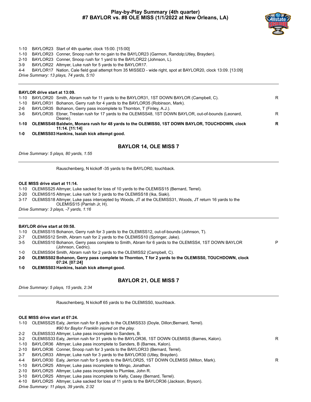## **Play-by-Play Summary (4th quarter) #7 BAYLOR vs. #8 OLE MISS (1/1/2022 at New Orleans, LA)**



P

- 1-10 BAYLOR23 Start of 4th quarter, clock 15:00. [15:00]
- 1-10 BAYLOR23 Conner, Snoop rush for no gain to the BAYLOR23 (Garmon, Randolp;Utley, Brayden).
- 2-10 BAYLOR23 Conner, Snoop rush for 1 yard to the BAYLOR22 (Johnson, L).
- 3-9 BAYLOR22 Altmyer, Luke rush for 5 yards to the BAYLOR17.
- 4-4 BAYLOR17 Nation, Cale field goal attempt from 35 MISSED wide right, spot at BAYLOR20, clock 13:09. [13:09]

*Drive Summary: 13 plays, 74 yards, 5:10*

#### **BAYLOR drive start at 13:09.**

| 1-10     | BAYLOR20 Smith, Abram rush for 11 yards to the BAYLOR31, 1ST DOWN BAYLOR (Campbell, C).                          | R |
|----------|------------------------------------------------------------------------------------------------------------------|---|
| 1-10     | BAYLOR31 Bohanon, Gerry rush for 4 yards to the BAYLOR35 (Robinson, Mark).                                       |   |
| 2-6      | BAYLOR35 Bohanon, Gerry pass incomplete to Thornton, T (Finley, A.J.).                                           |   |
| 3-6      | BAYLOR35 Ebner, Trestan rush for 17 yards to the OLEMISS48, 1ST DOWN BAYLOR, out-of-bounds (Leonard,             | R |
|          | Deane).                                                                                                          |   |
| $1 - 10$ | OLEMISS48 Baldwin, Monara rush for 48 yards to the OLEMISS0, 1ST DOWN BAYLOR, TOUCHDOWN, clock<br>11:14. [11:14] | R |

**1-0 OLEMISS03 Hankins, Isaiah kick attempt good.**

## **BAYLOR 14, OLE MISS 7**

*Drive Summary: 5 plays, 80 yards, 1:55*

Rauschenberg, N kickoff -35 yards to the BAYLOR0, touchback.

#### **OLE MISS drive start at 11:14.**

- 1-10 OLEMISS25 Altmyer, Luke sacked for loss of 10 yards to the OLEMISS15 (Bernard, Terrel).
- 2-20 OLEMISS15 Altmyer, Luke rush for 3 yards to the OLEMISS18 (Ika, Siaki).
- 3-17 OLEMISS18 Altmyer, Luke pass intercepted by Woods, JT at the OLEMISS31, Woods, JT return 16 yards to the OLEMISS15 (Parrish Jr, H).

*Drive Summary: 3 plays, -7 yards, 1:16*

#### **BAYLOR drive start at 09:58.**

- 1-10 OLEMISS15 Bohanon, Gerry rush for 3 yards to the OLEMISS12, out-of-bounds (Johnson, T).
- 2-7 OLEMISS12 Smith, Abram rush for 2 yards to the OLEMISS10 (Springer, Jake).
- 3-5 OLEMISS10 Bohanon, Gerry pass complete to Smith, Abram for 6 yards to the OLEMISS4, 1ST DOWN BAYLOR (Johnson, Cedric).
- 1-0 OLEMISS04 Smith, Abram rush for 2 yards to the OLEMISS2 (Campbell, C).
- **2-0 OLEMISS02 Bohanon, Gerry pass complete to Thornton, T for 2 yards to the OLEMISS0, TOUCHDOWN, clock 07:24. [07:24]**
- **1-0 OLEMISS03 Hankins, Isaiah kick attempt good.**

## **BAYLOR 21, OLE MISS 7**

*Drive Summary: 5 plays, 15 yards, 2:34*

Rauschenberg, N kickoff 65 yards to the OLEMISS0, touchback.

#### **OLE MISS drive start at 07:24.**

- 1-10 OLEMISS25 Ealy, Jerrion rush for 8 yards to the OLEMISS33 (Doyle, Dillon;Bernard, Terrel). *#90 for Baylor Franklin injured on the play.*
- 2-2 OLEMISS33 Altmyer, Luke pass incomplete to Sanders, B.
- 3-2 OLEMISS33 Ealy, Jerrion rush for 31 yards to the BAYLOR36, 1ST DOWN OLEMISS (Barnes, Kalon). R
- 1-10 BAYLOR36 Altmyer, Luke pass incomplete to Sanders, B (Barnes, Kalon).
- 2-10 BAYLOR36 Conner, Snoop rush for 3 yards to the BAYLOR33 (Bernard, Terrel).
- 3-7 BAYLOR33 Altmyer, Luke rush for 3 yards to the BAYLOR30 (Utley, Brayden).
- 4-4 BAYLOR30 Ealy, Jerrion rush for 5 yards to the BAYLOR25, 1ST DOWN OLEMISS (Milton, Mark).
- 1-10 BAYLOR25 Altmyer, Luke pass incomplete to Mingo, Jonathan.
- 2-10 BAYLOR25 Altmyer, Luke pass incomplete to Plumlee, John R.
- 3-10 BAYLOR25 Altmyer, Luke pass incomplete to Kelly, Casey (Bernard, Terrel).
- 4-10 BAYLOR25 Altmyer, Luke sacked for loss of 11 yards to the BAYLOR36 (Jackson, Bryson).

*Drive Summary: 11 plays, 39 yards, 2:32*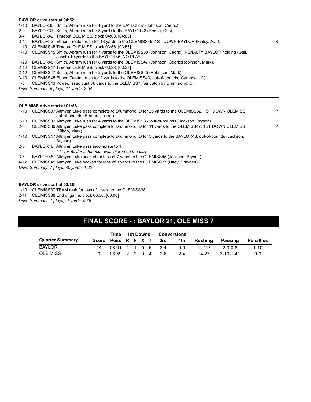#### **BAYLOR drive start at 04:52.**

- 1-10 BAYLOR36 Smith, Abram rush for 1 yard to the BAYLOR37 (Johnson, Cedric).
- 2-9 BAYLOR37 Smith, Abram rush for 5 yards to the BAYLOR42 (Reese, Otis).
- 3-4 BAYLOR42 Timeout OLE MISS, clock 04:03. [04:03]
- 3-4 BAYLOR42 Ebner, Trestan rush for 13 yards to the OLEMISS45, 1ST DOWN BAYLOR (Finley, A.J.). R
- 1-10 OLEMISS45 Timeout OLE MISS, clock 03:56. [03:56]
- 1-10 OLEMISS45 Smith, Abram rush for 7 yards to the OLEMISS38 (Johnson, Cedric), PENALTY BAYLOR holding (Gall,
- Jacob) 10 yards to the BAYLOR45, NO PLAY.
- 1-20 BAYLOR45 Smith, Abram rush for 8 yards to the OLEMISS47 (Johnson, Cedric;Robinson, Mark).
- 2-12 OLEMISS47 Timeout OLE MISS, clock 03:23. [03:23]
- 2-12 OLEMISS47 Smith, Abram rush for 2 yards to the OLEMISS45 (Robinson, Mark).
- 3-10 OLEMISS45 Ebner, Trestan rush for 2 yards to the OLEMISS43, out-of-bounds (Campbell, C).
- 4-8 OLEMISS43 Power, Issac punt 36 yards to the OLEMISS7, fair catch by Drummond, D.

*Drive Summary: 6 plays, 21 yards, 2:54*

#### **OLE MISS drive start at 01:58.**

| 1-10    | OLEMISS07 Altmyer, Luke pass complete to Drummond, D for 25 yards to the OLEMISS32, 1ST DOWN OLEMISS,<br>out-of-bounds (Bernard, Terrel). | P |
|---------|-------------------------------------------------------------------------------------------------------------------------------------------|---|
| 1-10    | OLEMISS32 Altmyer, Luke rush for 4 yards to the OLEMISS36, out-of-bounds (Jackson, Bryson).                                               |   |
| $2-6$   | OLEMISS36 Altmyer, Luke pass complete to Drummond, D for 11 yards to the OLEMISS47, 1ST DOWN OLEMISS<br>(Milton, Mark).                   | P |
| 1-10    | OLEMISS47 Altmyer, Luke pass complete to Drummond, D for 5 yards to the BAYLOR48, out-of-bounds (Jackson,<br>Bryson).                     |   |
| $2 - 5$ | BAYLOR48 Altmyer, Luke pass incomplete to 1.                                                                                              |   |
|         | #11 for Baylor L.Johnson was injured on the play.                                                                                         |   |
| 3-5     | BAYLOR48 Altmyer, Luke sacked for loss of 7 yards to the OLEMISS45 (Jackson, Bryson).                                                     |   |
| 4-12    | OLEMISS45 Altmyer, Luke sacked for loss of 8 yards to the OLEMISS37 (Utley, Brayden).                                                     |   |
|         | $Dirichlet$ Cummany $7$ plays $20$ varde $1:20$                                                                                           |   |

*Drive Summary: 7 plays, 30 yards, 1:20*

#### **BAYLOR drive start at 00:38.**

- 1-10 OLEMISS37 TEAM rush for loss of 1 yard to the OLEMISS38.
- 2-11 OLEMISS38 End of game, clock 00:00. [00:00]
- *Drive Summary: 1 plays, -1 yards, 0:38*

## **FINAL SCORE - : BAYLOR 21, OLE MISS 7**

|                        | Time                | 1st Downs |  | <b>Conversions</b> |                        |         |         |           |                  |
|------------------------|---------------------|-----------|--|--------------------|------------------------|---------|---------|-----------|------------------|
| <b>Quarter Summary</b> |                     |           |  |                    | Score Poss R P X T 3rd | 4th     | Rushina | Passing   | <b>Penalties</b> |
| <b>BAYLOR</b>          |                     |           |  |                    | $08:01$ 4 1 0 5 3-4    | ი-ი     | 14-117  | 2-3-0-8   | $1 - 10$         |
| OLE MISS               | $06:59$ 2 2 0 4 2-8 |           |  |                    |                        | $2 - 4$ | 14-27   | 3-10-1-41 | $0 - 0$          |